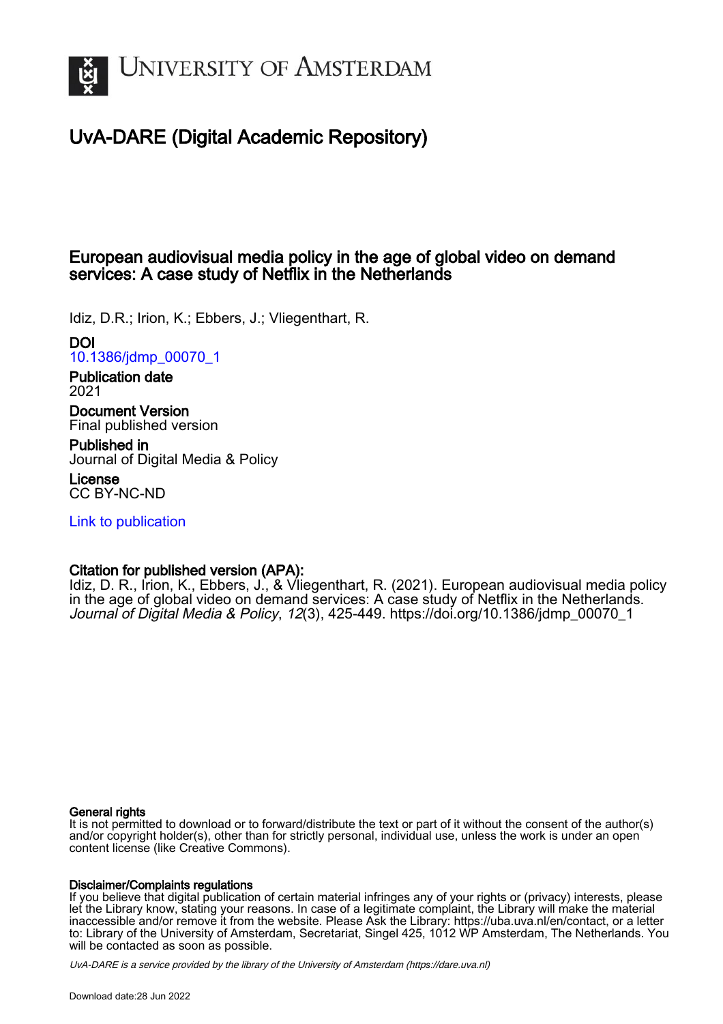

# UvA-DARE (Digital Academic Repository)

# European audiovisual media policy in the age of global video on demand services: A case study of Netflix in the Netherlands

Idiz, D.R.; Irion, K.; Ebbers, J.; Vliegenthart, R.

### DOI

[10.1386/jdmp\\_00070\\_1](https://doi.org/10.1386/jdmp_00070_1)

Publication date 2021

Document Version Final published version

Published in Journal of Digital Media & Policy

License CC BY-NC-ND

[Link to publication](https://dare.uva.nl/personal/pure/en/publications/european-audiovisual-media-policy-in-the-age-of-global-video-on-demand-services-a-case-study-of-netflix-in-the-netherlands(7ead0dba-23a5-4d95-812c-2fca3fa043a8).html)

## Citation for published version (APA):

Idiz, D. R., Irion, K., Ebbers, J., & Vliegenthart, R. (2021). European audiovisual media policy in the age of global video on demand services: A case study of Netflix in the Netherlands. Journal of Digital Media & Policy, 12(3), 425-449. [https://doi.org/10.1386/jdmp\\_00070\\_1](https://doi.org/10.1386/jdmp_00070_1)

#### General rights

It is not permitted to download or to forward/distribute the text or part of it without the consent of the author(s) and/or copyright holder(s), other than for strictly personal, individual use, unless the work is under an open content license (like Creative Commons).

#### Disclaimer/Complaints regulations

If you believe that digital publication of certain material infringes any of your rights or (privacy) interests, please let the Library know, stating your reasons. In case of a legitimate complaint, the Library will make the material inaccessible and/or remove it from the website. Please Ask the Library: https://uba.uva.nl/en/contact, or a letter to: Library of the University of Amsterdam, Secretariat, Singel 425, 1012 WP Amsterdam, The Netherlands. You will be contacted as soon as possible.

UvA-DARE is a service provided by the library of the University of Amsterdam (http*s*://dare.uva.nl)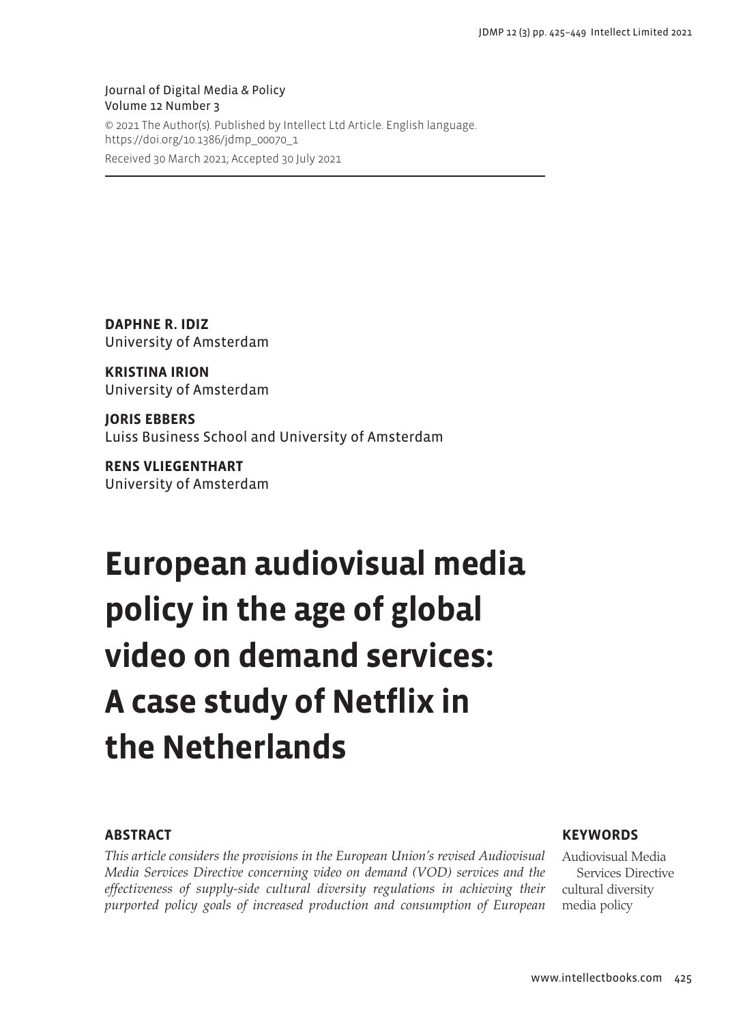Journal of Digital Media & Policy Volume 12 Number 3 © 2021 The Author(s). Published by Intellect Ltd Article. English language. https://doi.org/10.1386/jdmp\_00070\_1 Received 30 March 2021; Accepted 30 July 2021

**DAPHNE R. IDIZ** University of Amsterdam

**KRISTINA IRION** University of Amsterdam

**JORIS EBBERS** Luiss Business School and University of Amsterdam

**RENS VLIEGENTHART** University of Amsterdam

# **European audiovisual media policy in the age of global video on demand services: A case study of Netflix in the Netherlands**

#### **ABSTRACT**

*This article considers the provisions in the European Union's revised Audiovisual Media Services Directive concerning video on demand (VOD) services and the effectiveness of supply-side cultural diversity regulations in achieving their purported policy goals of increased production and consumption of European* 

#### **KEYWORDS**

Audiovisual Media Services Directive cultural diversity media policy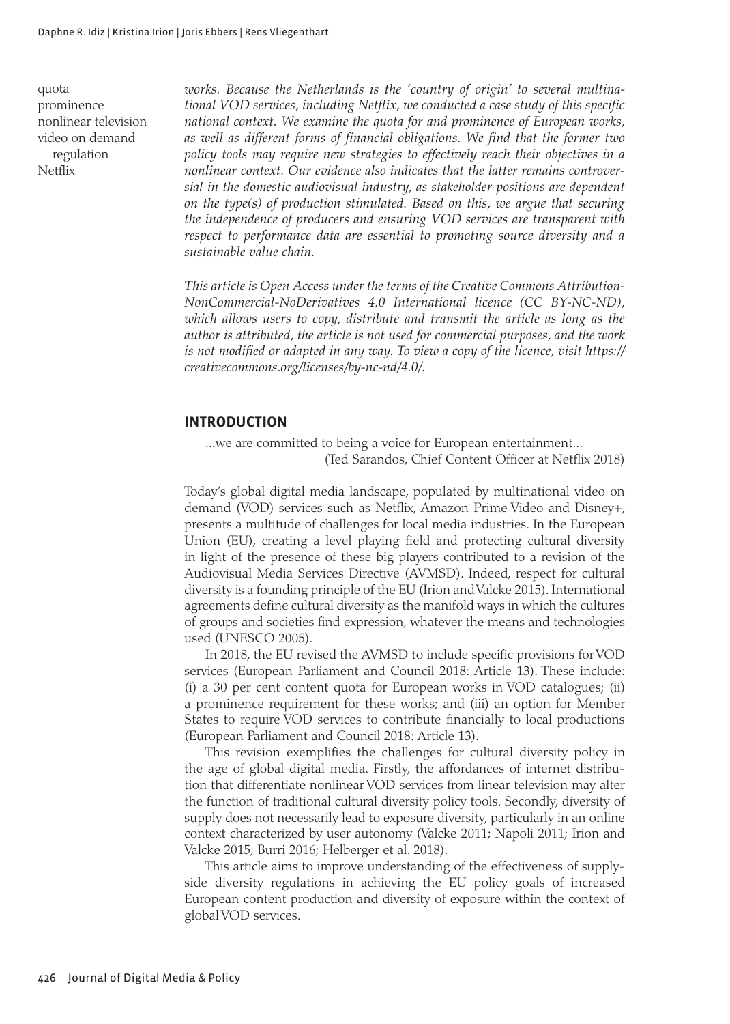quota prominence nonlinear television video on demand regulation Netflix

*works. Because the Netherlands is the 'country of origin' to several multinational VOD services, including Netflix, we conducted a case study of this specific national context. We examine the quota for and prominence of European works, as well as different forms of financial obligations. We find that the former two policy tools may require new strategies to effectively reach their objectives in a nonlinear context. Our evidence also indicates that the latter remains controversial in the domestic audiovisual industry, as stakeholder positions are dependent on the type(s) of production stimulated. Based on this, we argue that securing the independence of producers and ensuring VOD services are transparent with respect to performance data are essential to promoting source diversity and a sustainable value chain.*

*This article is Open Access under the terms of the Creative Commons Attribution-NonCommercial-NoDerivatives 4.0 International licence (CC BY-NC-ND), which allows users to copy, distribute and transmit the article as long as the author is attributed, the article is not used for commercial purposes, and the work is not modified or adapted in any way. To view a copy of the licence, visit https:// creativecommons.org/licenses/by-nc-nd/4.0/.*

#### **INTRODUCTION**

...we are committed to being a voice for European entertainment... (Ted Sarandos, Chief Content Officer at Netflix 2018)

Today's global digital media landscape, populated by multinational video on demand (VOD) services such as Netflix, Amazon Prime Video and Disney+, presents a multitude of challenges for local media industries. In the European Union (EU), creating a level playing field and protecting cultural diversity in light of the presence of these big players contributed to a revision of the Audiovisual Media Services Directive (AVMSD). Indeed, respect for cultural diversity is a founding principle of the EU (Irion and Valcke 2015). International agreements define cultural diversity as the manifold ways in which the cultures of groups and societies find expression, whatever the means and technologies used (UNESCO 2005).

In 2018, the EU revised the AVMSD to include specific provisions for VOD services (European Parliament and Council 2018: Article 13). These include: (i) a 30 per cent content quota for European works in VOD catalogues; (ii) a prominence requirement for these works; and (iii) an option for Member States to require VOD services to contribute financially to local productions (European Parliament and Council 2018: Article 13).

This revision exemplifies the challenges for cultural diversity policy in the age of global digital media. Firstly, the affordances of internet distribution that differentiate nonlinear VOD services from linear television may alter the function of traditional cultural diversity policy tools. Secondly, diversity of supply does not necessarily lead to exposure diversity, particularly in an online context characterized by user autonomy (Valcke 2011; Napoli 2011; Irion and Valcke 2015; Burri 2016; Helberger et al. 2018).

This article aims to improve understanding of the effectiveness of supplyside diversity regulations in achieving the EU policy goals of increased European content production and diversity of exposure within the context of global VOD services.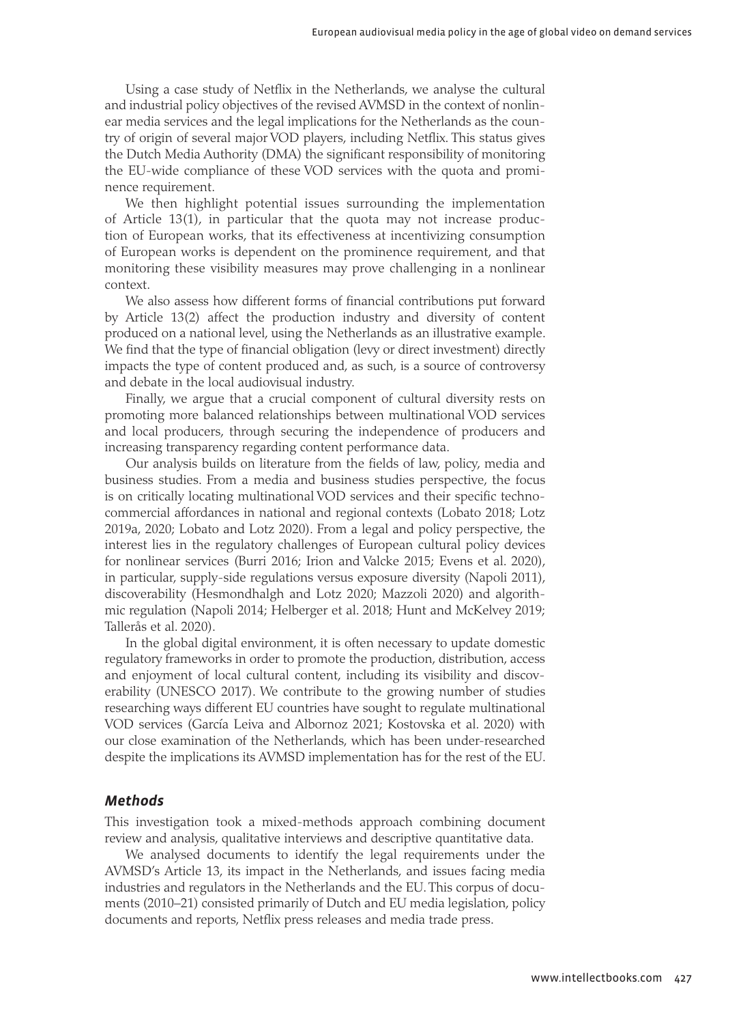Using a case study of Netflix in the Netherlands, we analyse the cultural and industrial policy objectives of the revised AVMSD in the context of nonlinear media services and the legal implications for the Netherlands as the country of origin of several major VOD players, including Netflix. This status gives the Dutch Media Authority (DMA) the significant responsibility of monitoring the EU-wide compliance of these VOD services with the quota and prominence requirement.

We then highlight potential issues surrounding the implementation of Article 13(1), in particular that the quota may not increase production of European works, that its effectiveness at incentivizing consumption of European works is dependent on the prominence requirement, and that monitoring these visibility measures may prove challenging in a nonlinear context.

We also assess how different forms of financial contributions put forward by Article 13(2) affect the production industry and diversity of content produced on a national level, using the Netherlands as an illustrative example. We find that the type of financial obligation (levy or direct investment) directly impacts the type of content produced and, as such, is a source of controversy and debate in the local audiovisual industry.

Finally, we argue that a crucial component of cultural diversity rests on promoting more balanced relationships between multinational VOD services and local producers, through securing the independence of producers and increasing transparency regarding content performance data.

Our analysis builds on literature from the fields of law, policy, media and business studies. From a media and business studies perspective, the focus is on critically locating multinational VOD services and their specific technocommercial affordances in national and regional contexts (Lobato 2018; Lotz 2019a, 2020; Lobato and Lotz 2020). From a legal and policy perspective, the interest lies in the regulatory challenges of European cultural policy devices for nonlinear services (Burri 2016; Irion and Valcke 2015; Evens et al. 2020), in particular, supply-side regulations versus exposure diversity (Napoli 2011), discoverability (Hesmondhalgh and Lotz 2020; Mazzoli 2020) and algorithmic regulation (Napoli 2014; Helberger et al. 2018; Hunt and McKelvey 2019; Tallerås et al. 2020).

In the global digital environment, it is often necessary to update domestic regulatory frameworks in order to promote the production, distribution, access and enjoyment of local cultural content, including its visibility and discoverability (UNESCO 2017). We contribute to the growing number of studies researching ways different EU countries have sought to regulate multinational VOD services (García Leiva and Albornoz 2021; Kostovska et al. 2020) with our close examination of the Netherlands, which has been under-researched despite the implications its AVMSD implementation has for the rest of the EU.

#### *Methods*

This investigation took a mixed-methods approach combining document review and analysis, qualitative interviews and descriptive quantitative data.

We analysed documents to identify the legal requirements under the AVMSD's Article 13, its impact in the Netherlands, and issues facing media industries and regulators in the Netherlands and the EU. This corpus of documents (2010–21) consisted primarily of Dutch and EU media legislation, policy documents and reports, Netflix press releases and media trade press.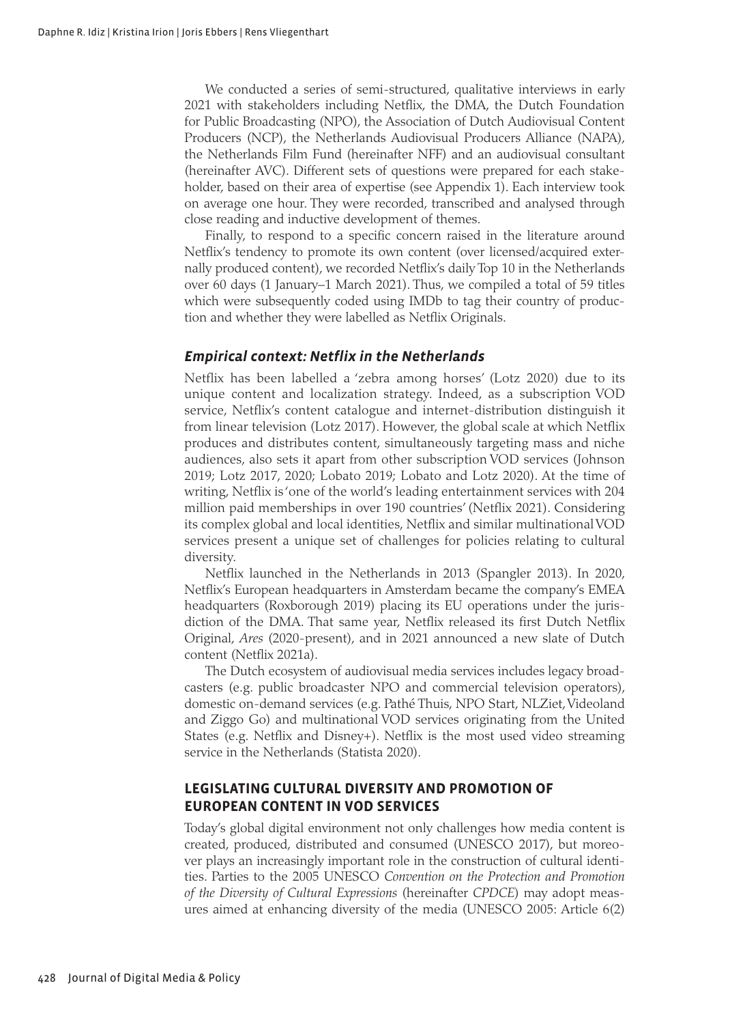We conducted a series of semi-structured, qualitative interviews in early 2021 with stakeholders including Netflix, the DMA, the Dutch Foundation for Public Broadcasting (NPO), the Association of Dutch Audiovisual Content Producers (NCP), the Netherlands Audiovisual Producers Alliance (NAPA), the Netherlands Film Fund (hereinafter NFF) and an audiovisual consultant (hereinafter AVC). Different sets of questions were prepared for each stakeholder, based on their area of expertise (see Appendix 1). Each interview took on average one hour. They were recorded, transcribed and analysed through close reading and inductive development of themes.

Finally, to respond to a specific concern raised in the literature around Netflix's tendency to promote its own content (over licensed/acquired externally produced content), we recorded Netflix's daily Top 10 in the Netherlands over 60 days (1 January–1 March 2021). Thus, we compiled a total of 59 titles which were subsequently coded using IMDb to tag their country of production and whether they were labelled as Netflix Originals.

#### *Empirical context: Netflix in the Netherlands*

Netflix has been labelled a 'zebra among horses' (Lotz 2020) due to its unique content and localization strategy. Indeed, as a subscription VOD service, Netflix's content catalogue and internet-distribution distinguish it from linear television (Lotz 2017). However, the global scale at which Netflix produces and distributes content, simultaneously targeting mass and niche audiences, also sets it apart from other subscription VOD services (Johnson 2019; Lotz 2017, 2020; Lobato 2019; Lobato and Lotz 2020). At the time of writing, Netflix is 'one of the world's leading entertainment services with 204 million paid memberships in over 190 countries' (Netflix 2021). Considering its complex global and local identities, Netflix and similar multinational VOD services present a unique set of challenges for policies relating to cultural diversity.

Netflix launched in the Netherlands in 2013 (Spangler 2013). In 2020, Netflix's European headquarters in Amsterdam became the company's EMEA headquarters (Roxborough 2019) placing its EU operations under the jurisdiction of the DMA. That same year, Netflix released its first Dutch Netflix Original, *Ares* (2020-present), and in 2021 announced a new slate of Dutch content (Netflix 2021a).

The Dutch ecosystem of audiovisual media services includes legacy broadcasters (e.g. public broadcaster NPO and commercial television operators), domestic on-demand services (e.g. Pathé Thuis, NPO Start, NLZiet, Videoland and Ziggo Go) and multinational VOD services originating from the United States (e.g. Netflix and Disney+). Netflix is the most used video streaming service in the Netherlands (Statista 2020).

#### **LEGISLATING CULTURAL DIVERSITY AND PROMOTION OF EUROPEAN CONTENT IN VOD SERVICES**

Today's global digital environment not only challenges how media content is created, produced, distributed and consumed (UNESCO 2017), but moreover plays an increasingly important role in the construction of cultural identities. Parties to the 2005 UNESCO *Convention on the Protection and Promotion of the Diversity of Cultural Expressions* (hereinafter *CPDCE*) may adopt measures aimed at enhancing diversity of the media (UNESCO 2005: Article 6(2)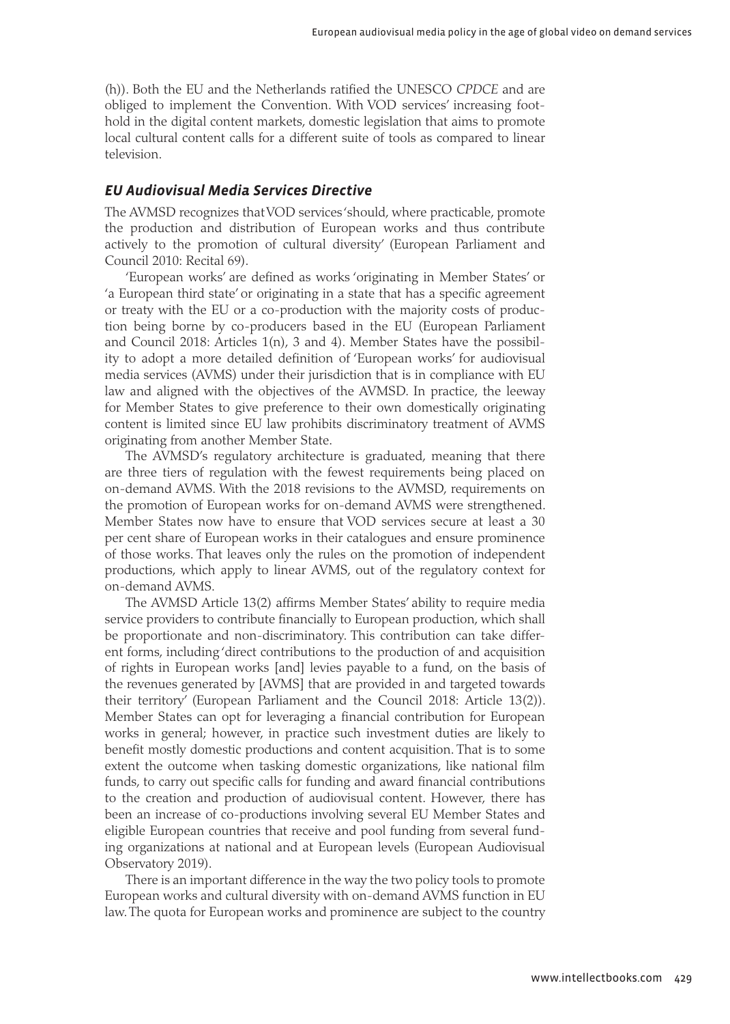(h)). Both the EU and the Netherlands ratified the UNESCO *CPDCE* and are obliged to implement the Convention. With VOD services' increasing foothold in the digital content markets, domestic legislation that aims to promote local cultural content calls for a different suite of tools as compared to linear television.

#### *EU Audiovisual Media Services Directive*

The AVMSD recognizes that VOD services 'should, where practicable, promote the production and distribution of European works and thus contribute actively to the promotion of cultural diversity' (European Parliament and Council 2010: Recital 69).

'European works' are defined as works 'originating in Member States' or 'a European third state' or originating in a state that has a specific agreement or treaty with the EU or a co-production with the majority costs of production being borne by co-producers based in the EU (European Parliament and Council 2018: Articles 1(n), 3 and 4). Member States have the possibility to adopt a more detailed definition of 'European works' for audiovisual media services (AVMS) under their jurisdiction that is in compliance with EU law and aligned with the objectives of the AVMSD. In practice, the leeway for Member States to give preference to their own domestically originating content is limited since EU law prohibits discriminatory treatment of AVMS originating from another Member State.

The AVMSD's regulatory architecture is graduated, meaning that there are three tiers of regulation with the fewest requirements being placed on on-demand AVMS. With the 2018 revisions to the AVMSD, requirements on the promotion of European works for on-demand AVMS were strengthened. Member States now have to ensure that VOD services secure at least a 30 per cent share of European works in their catalogues and ensure prominence of those works. That leaves only the rules on the promotion of independent productions, which apply to linear AVMS, out of the regulatory context for on-demand AVMS.

The AVMSD Article 13(2) affirms Member States' ability to require media service providers to contribute financially to European production, which shall be proportionate and non-discriminatory. This contribution can take different forms, including 'direct contributions to the production of and acquisition of rights in European works [and] levies payable to a fund, on the basis of the revenues generated by [AVMS] that are provided in and targeted towards their territory' (European Parliament and the Council 2018: Article 13(2)). Member States can opt for leveraging a financial contribution for European works in general; however, in practice such investment duties are likely to benefit mostly domestic productions and content acquisition. That is to some extent the outcome when tasking domestic organizations, like national film funds, to carry out specific calls for funding and award financial contributions to the creation and production of audiovisual content. However, there has been an increase of co-productions involving several EU Member States and eligible European countries that receive and pool funding from several funding organizations at national and at European levels (European Audiovisual Observatory 2019).

There is an important difference in the way the two policy tools to promote European works and cultural diversity with on-demand AVMS function in EU law. The quota for European works and prominence are subject to the country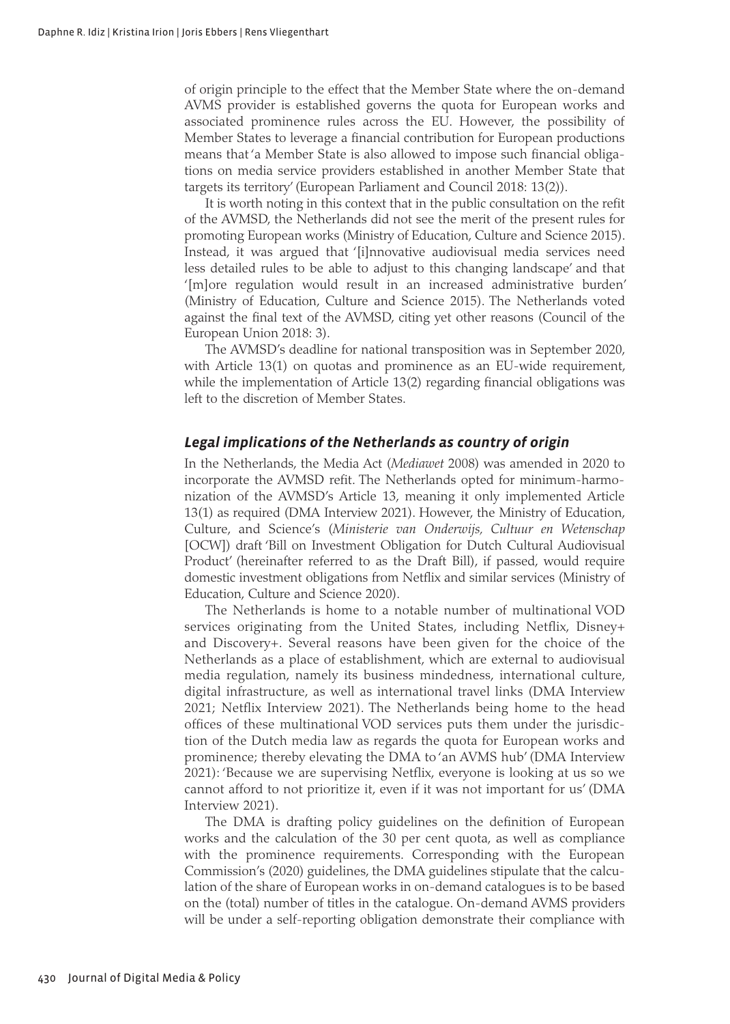of origin principle to the effect that the Member State where the on-demand AVMS provider is established governs the quota for European works and associated prominence rules across the EU. However, the possibility of Member States to leverage a financial contribution for European productions means that 'a Member State is also allowed to impose such financial obligations on media service providers established in another Member State that targets its territory' (European Parliament and Council 2018: 13(2)).

It is worth noting in this context that in the public consultation on the refit of the AVMSD, the Netherlands did not see the merit of the present rules for promoting European works (Ministry of Education, Culture and Science 2015). Instead, it was argued that '[i]nnovative audiovisual media services need less detailed rules to be able to adjust to this changing landscape' and that '[m]ore regulation would result in an increased administrative burden' (Ministry of Education, Culture and Science 2015). The Netherlands voted against the final text of the AVMSD, citing yet other reasons (Council of the European Union 2018: 3).

The AVMSD's deadline for national transposition was in September 2020, with Article 13(1) on quotas and prominence as an EU-wide requirement, while the implementation of Article 13(2) regarding financial obligations was left to the discretion of Member States.

#### *Legal implications of the Netherlands as country of origin*

In the Netherlands, the Media Act (*Mediawet* 2008) was amended in 2020 to incorporate the AVMSD refit. The Netherlands opted for minimum-harmonization of the AVMSD's Article 13, meaning it only implemented Article 13(1) as required (DMA Interview 2021). However, the Ministry of Education, Culture, and Science's (*Ministerie van Onderwijs, Cultuur en Wetenschap* [OCW]) draft 'Bill on Investment Obligation for Dutch Cultural Audiovisual Product' (hereinafter referred to as the Draft Bill), if passed, would require domestic investment obligations from Netflix and similar services (Ministry of Education, Culture and Science 2020).

The Netherlands is home to a notable number of multinational VOD services originating from the United States, including Netflix, Disney+ and Discovery+. Several reasons have been given for the choice of the Netherlands as a place of establishment, which are external to audiovisual media regulation, namely its business mindedness, international culture, digital infrastructure, as well as international travel links (DMA Interview 2021; Netflix Interview 2021). The Netherlands being home to the head offices of these multinational VOD services puts them under the jurisdiction of the Dutch media law as regards the quota for European works and prominence; thereby elevating the DMA to 'an AVMS hub' (DMA Interview 2021): 'Because we are supervising Netflix, everyone is looking at us so we cannot afford to not prioritize it, even if it was not important for us' (DMA Interview 2021).

The DMA is drafting policy guidelines on the definition of European works and the calculation of the 30 per cent quota, as well as compliance with the prominence requirements. Corresponding with the European Commission's (2020) guidelines, the DMA guidelines stipulate that the calculation of the share of European works in on-demand catalogues is to be based on the (total) number of titles in the catalogue. On-demand AVMS providers will be under a self-reporting obligation demonstrate their compliance with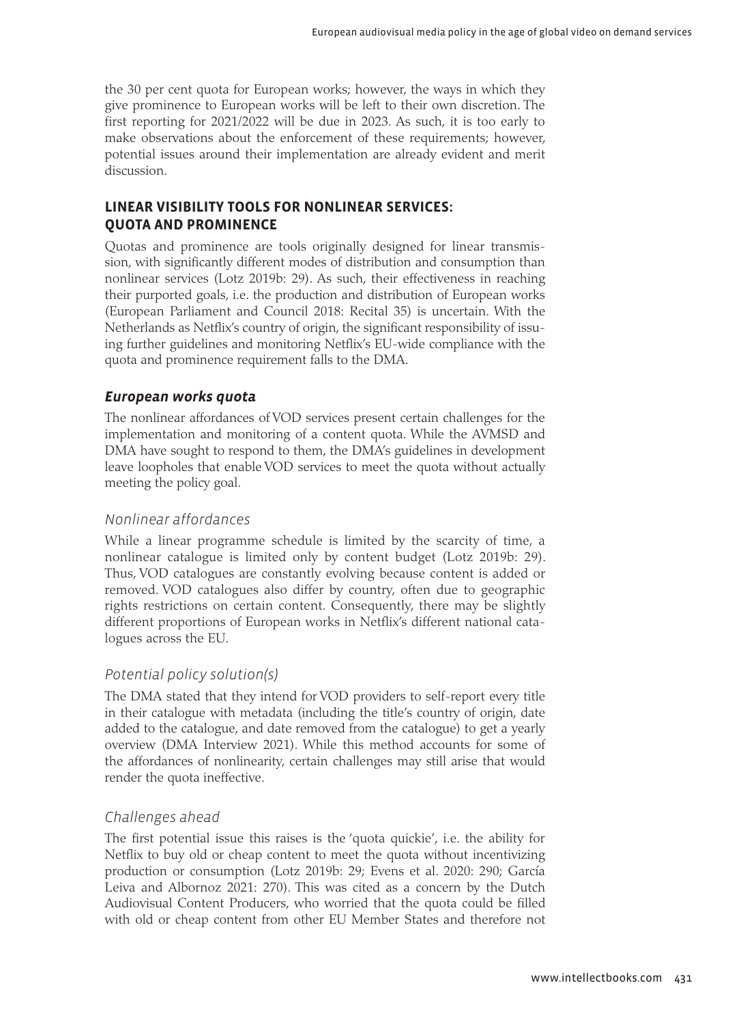the 30 per cent quota for European works; however, the ways in which they give prominence to European works will be left to their own discretion. The first reporting for 2021/2022 will be due in 2023. As such, it is too early to make observations about the enforcement of these requirements; however, potential issues around their implementation are already evident and merit discussion.

#### **LINEAR VISIBILITY TOOLS FOR NONLINEAR SERVICES: QUOTA AND PROMINENCE**

Quotas and prominence are tools originally designed for linear transmission, with significantly different modes of distribution and consumption than nonlinear services (Lotz 2019b: 29). As such, their effectiveness in reaching their purported goals, i.e. the production and distribution of European works (European Parliament and Council 2018: Recital 35) is uncertain. With the Netherlands as Netflix's country of origin, the significant responsibility of issuing further guidelines and monitoring Netflix's EU-wide compliance with the quota and prominence requirement falls to the DMA.

#### *European works quota*

The nonlinear affordances of VOD services present certain challenges for the implementation and monitoring of a content quota. While the AVMSD and DMA have sought to respond to them, the DMA's guidelines in development leave loopholes that enable VOD services to meet the quota without actually meeting the policy goal.

#### *Nonlinear affordances*

While a linear programme schedule is limited by the scarcity of time, a nonlinear catalogue is limited only by content budget (Lotz 2019b: 29). Thus, VOD catalogues are constantly evolving because content is added or removed. VOD catalogues also differ by country, often due to geographic rights restrictions on certain content. Consequently, there may be slightly different proportions of European works in Netflix's different national catalogues across the EU.

#### *Potential policy solution(s)*

The DMA stated that they intend for VOD providers to self-report every title in their catalogue with metadata (including the title's country of origin, date added to the catalogue, and date removed from the catalogue) to get a yearly overview (DMA Interview 2021). While this method accounts for some of the affordances of nonlinearity, certain challenges may still arise that would render the quota ineffective.

#### *Challenges ahead*

The first potential issue this raises is the 'quota quickie', i.e. the ability for Netflix to buy old or cheap content to meet the quota without incentivizing production or consumption (Lotz 2019b: 29; Evens et al. 2020: 290; García Leiva and Albornoz 2021: 270). This was cited as a concern by the Dutch Audiovisual Content Producers, who worried that the quota could be filled with old or cheap content from other EU Member States and therefore not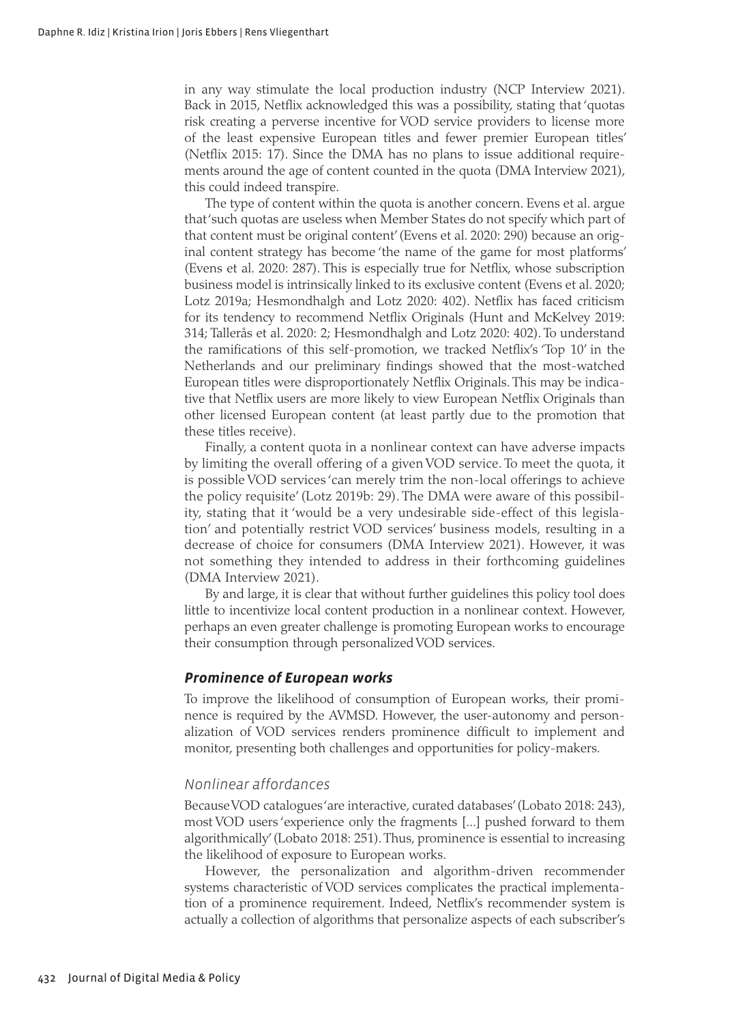in any way stimulate the local production industry (NCP Interview 2021). Back in 2015, Netflix acknowledged this was a possibility, stating that 'quotas risk creating a perverse incentive for VOD service providers to license more of the least expensive European titles and fewer premier European titles' (Netflix 2015: 17). Since the DMA has no plans to issue additional requirements around the age of content counted in the quota (DMA Interview 2021), this could indeed transpire.

The type of content within the quota is another concern. Evens et al. argue that 'such quotas are useless when Member States do not specify which part of that content must be original content' (Evens et al. 2020: 290) because an original content strategy has become 'the name of the game for most platforms' (Evens et al. 2020: 287). This is especially true for Netflix, whose subscription business model is intrinsically linked to its exclusive content (Evens et al. 2020; Lotz 2019a; Hesmondhalgh and Lotz 2020: 402). Netflix has faced criticism for its tendency to recommend Netflix Originals (Hunt and McKelvey 2019: 314; Tallerås et al. 2020: 2; Hesmondhalgh and Lotz 2020: 402). To understand the ramifications of this self-promotion, we tracked Netflix's 'Top 10' in the Netherlands and our preliminary findings showed that the most-watched European titles were disproportionately Netflix Originals. This may be indicative that Netflix users are more likely to view European Netflix Originals than other licensed European content (at least partly due to the promotion that these titles receive).

Finally, a content quota in a nonlinear context can have adverse impacts by limiting the overall offering of a given VOD service. To meet the quota, it is possible VOD services 'can merely trim the non-local offerings to achieve the policy requisite' (Lotz 2019b: 29). The DMA were aware of this possibility, stating that it 'would be a very undesirable side-effect of this legislation' and potentially restrict VOD services' business models, resulting in a decrease of choice for consumers (DMA Interview 2021). However, it was not something they intended to address in their forthcoming guidelines (DMA Interview 2021).

By and large, it is clear that without further guidelines this policy tool does little to incentivize local content production in a nonlinear context. However, perhaps an even greater challenge is promoting European works to encourage their consumption through personalized VOD services.

#### *Prominence of European works*

To improve the likelihood of consumption of European works, their prominence is required by the AVMSD. However, the user-autonomy and personalization of VOD services renders prominence difficult to implement and monitor, presenting both challenges and opportunities for policy-makers.

#### *Nonlinear affordances*

Because VOD catalogues 'are interactive, curated databases' (Lobato 2018: 243), most VOD users 'experience only the fragments [...] pushed forward to them algorithmically' (Lobato 2018: 251). Thus, prominence is essential to increasing the likelihood of exposure to European works.

However, the personalization and algorithm-driven recommender systems characteristic of VOD services complicates the practical implementation of a prominence requirement. Indeed, Netflix's recommender system is actually a collection of algorithms that personalize aspects of each subscriber's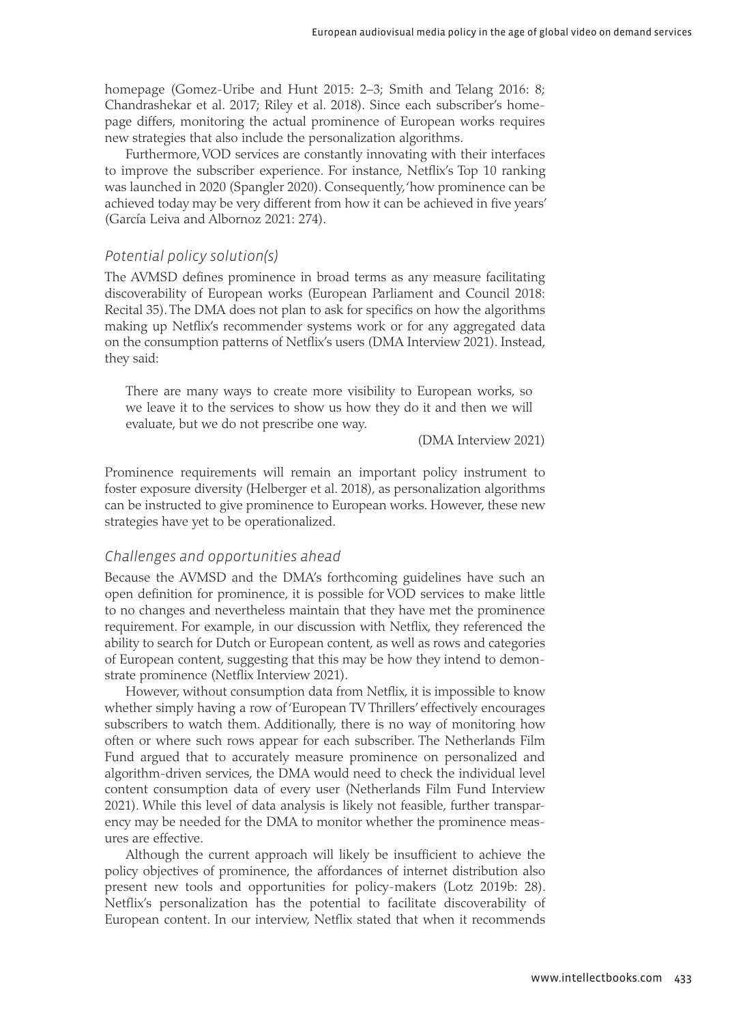homepage (Gomez-Uribe and Hunt 2015: 2–3; Smith and Telang 2016: 8; Chandrashekar et al. 2017; Riley et al. 2018). Since each subscriber's homepage differs, monitoring the actual prominence of European works requires new strategies that also include the personalization algorithms.

Furthermore, VOD services are constantly innovating with their interfaces to improve the subscriber experience. For instance, Netflix's Top 10 ranking was launched in 2020 (Spangler 2020). Consequently, 'how prominence can be achieved today may be very different from how it can be achieved in five years' (García Leiva and Albornoz 2021: 274).

#### *Potential policy solution(s)*

The AVMSD defines prominence in broad terms as any measure facilitating discoverability of European works (European Parliament and Council 2018: Recital 35). The DMA does not plan to ask for specifics on how the algorithms making up Netflix's recommender systems work or for any aggregated data on the consumption patterns of Netflix's users (DMA Interview 2021). Instead, they said:

There are many ways to create more visibility to European works, so we leave it to the services to show us how they do it and then we will evaluate, but we do not prescribe one way.

(DMA Interview 2021)

Prominence requirements will remain an important policy instrument to foster exposure diversity (Helberger et al. 2018), as personalization algorithms can be instructed to give prominence to European works. However, these new strategies have yet to be operationalized.

#### *Challenges and opportunities ahead*

Because the AVMSD and the DMA's forthcoming guidelines have such an open definition for prominence, it is possible for VOD services to make little to no changes and nevertheless maintain that they have met the prominence requirement. For example, in our discussion with Netflix, they referenced the ability to search for Dutch or European content, as well as rows and categories of European content, suggesting that this may be how they intend to demonstrate prominence (Netflix Interview 2021).

However, without consumption data from Netflix, it is impossible to know whether simply having a row of 'European TV Thrillers' effectively encourages subscribers to watch them. Additionally, there is no way of monitoring how often or where such rows appear for each subscriber. The Netherlands Film Fund argued that to accurately measure prominence on personalized and algorithm-driven services, the DMA would need to check the individual level content consumption data of every user (Netherlands Film Fund Interview 2021). While this level of data analysis is likely not feasible, further transparency may be needed for the DMA to monitor whether the prominence measures are effective.

Although the current approach will likely be insufficient to achieve the policy objectives of prominence, the affordances of internet distribution also present new tools and opportunities for policy-makers (Lotz 2019b: 28). Netflix's personalization has the potential to facilitate discoverability of European content. In our interview, Netflix stated that when it recommends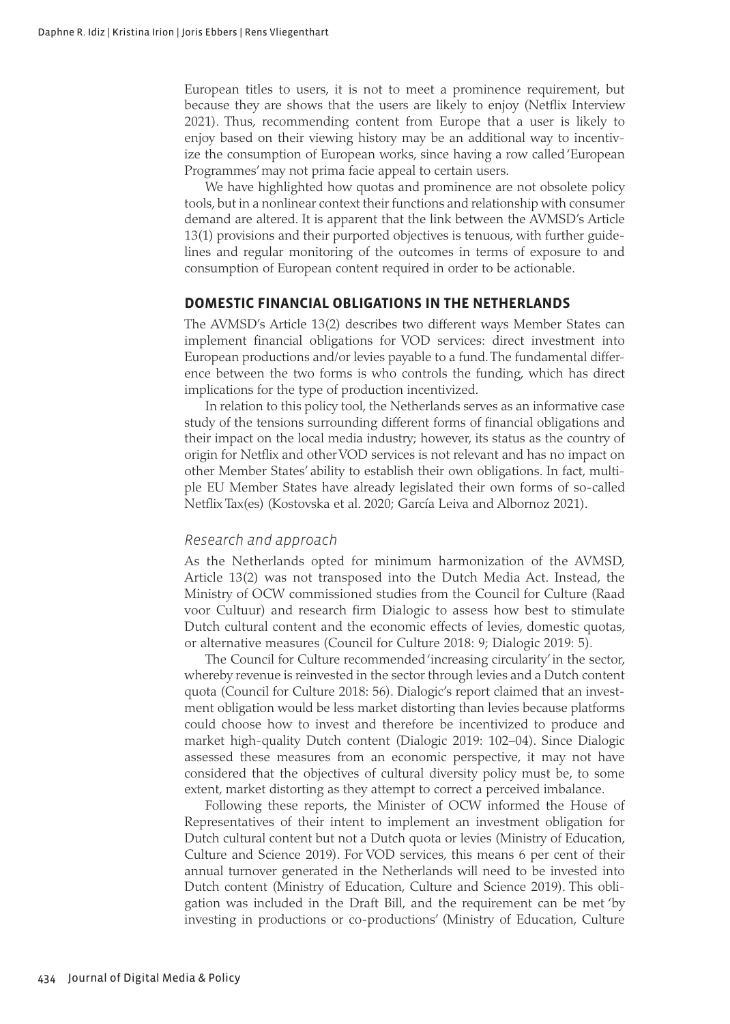European titles to users, it is not to meet a prominence requirement, but because they are shows that the users are likely to enjoy (Netflix Interview 2021). Thus, recommending content from Europe that a user is likely to enjoy based on their viewing history may be an additional way to incentivize the consumption of European works, since having a row called 'European Programmes' may not prima facie appeal to certain users.

We have highlighted how quotas and prominence are not obsolete policy tools, but in a nonlinear context their functions and relationship with consumer demand are altered. It is apparent that the link between the AVMSD's Article 13(1) provisions and their purported objectives is tenuous, with further guidelines and regular monitoring of the outcomes in terms of exposure to and consumption of European content required in order to be actionable.

#### **DOMESTIC FINANCIAL OBLIGATIONS IN THE NETHERLANDS**

The AVMSD's Article 13(2) describes two different ways Member States can implement financial obligations for VOD services: direct investment into European productions and/or levies payable to a fund. The fundamental difference between the two forms is who controls the funding, which has direct implications for the type of production incentivized.

In relation to this policy tool, the Netherlands serves as an informative case study of the tensions surrounding different forms of financial obligations and their impact on the local media industry; however, its status as the country of origin for Netflix and other VOD services is not relevant and has no impact on other Member States' ability to establish their own obligations. In fact, multiple EU Member States have already legislated their own forms of so-called Netflix Tax(es) (Kostovska et al. 2020; García Leiva and Albornoz 2021).

#### *Research and approach*

As the Netherlands opted for minimum harmonization of the AVMSD, Article 13(2) was not transposed into the Dutch Media Act. Instead, the Ministry of OCW commissioned studies from the Council for Culture (Raad voor Cultuur) and research firm Dialogic to assess how best to stimulate Dutch cultural content and the economic effects of levies, domestic quotas, or alternative measures (Council for Culture 2018: 9; Dialogic 2019: 5).

The Council for Culture recommended 'increasing circularity' in the sector, whereby revenue is reinvested in the sector through levies and a Dutch content quota (Council for Culture 2018: 56). Dialogic's report claimed that an investment obligation would be less market distorting than levies because platforms could choose how to invest and therefore be incentivized to produce and market high-quality Dutch content (Dialogic 2019: 102–04). Since Dialogic assessed these measures from an economic perspective, it may not have considered that the objectives of cultural diversity policy must be, to some extent, market distorting as they attempt to correct a perceived imbalance.

Following these reports, the Minister of OCW informed the House of Representatives of their intent to implement an investment obligation for Dutch cultural content but not a Dutch quota or levies (Ministry of Education, Culture and Science 2019). For VOD services, this means 6 per cent of their annual turnover generated in the Netherlands will need to be invested into Dutch content (Ministry of Education, Culture and Science 2019). This obligation was included in the Draft Bill, and the requirement can be met 'by investing in productions or co-productions' (Ministry of Education, Culture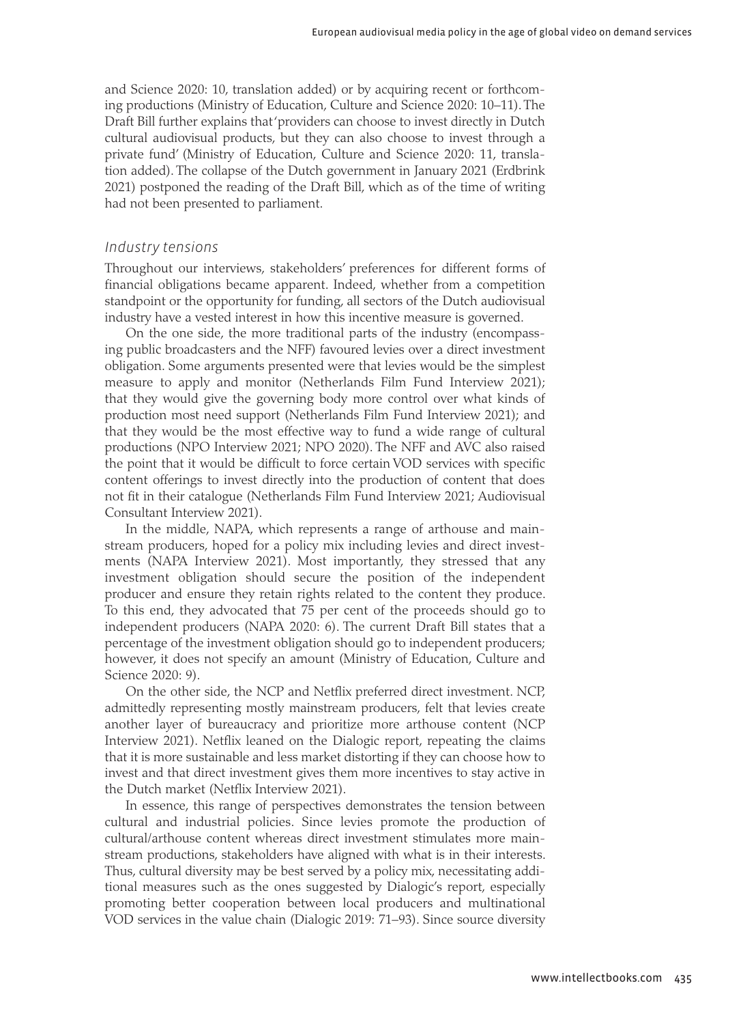and Science 2020: 10, translation added) or by acquiring recent or forthcoming productions (Ministry of Education, Culture and Science 2020: 10–11). The Draft Bill further explains that 'providers can choose to invest directly in Dutch cultural audiovisual products, but they can also choose to invest through a private fund' (Ministry of Education, Culture and Science 2020: 11, translation added). The collapse of the Dutch government in January 2021 (Erdbrink 2021) postponed the reading of the Draft Bill, which as of the time of writing had not been presented to parliament.

#### *Industry tensions*

Throughout our interviews, stakeholders' preferences for different forms of financial obligations became apparent. Indeed, whether from a competition standpoint or the opportunity for funding, all sectors of the Dutch audiovisual industry have a vested interest in how this incentive measure is governed.

On the one side, the more traditional parts of the industry (encompassing public broadcasters and the NFF) favoured levies over a direct investment obligation. Some arguments presented were that levies would be the simplest measure to apply and monitor (Netherlands Film Fund Interview 2021); that they would give the governing body more control over what kinds of production most need support (Netherlands Film Fund Interview 2021); and that they would be the most effective way to fund a wide range of cultural productions (NPO Interview 2021; NPO 2020). The NFF and AVC also raised the point that it would be difficult to force certain VOD services with specific content offerings to invest directly into the production of content that does not fit in their catalogue (Netherlands Film Fund Interview 2021; Audiovisual Consultant Interview 2021).

In the middle, NAPA, which represents a range of arthouse and mainstream producers, hoped for a policy mix including levies and direct investments (NAPA Interview 2021). Most importantly, they stressed that any investment obligation should secure the position of the independent producer and ensure they retain rights related to the content they produce. To this end, they advocated that 75 per cent of the proceeds should go to independent producers (NAPA 2020: 6). The current Draft Bill states that a percentage of the investment obligation should go to independent producers; however, it does not specify an amount (Ministry of Education, Culture and Science 2020: 9).

On the other side, the NCP and Netflix preferred direct investment. NCP, admittedly representing mostly mainstream producers, felt that levies create another layer of bureaucracy and prioritize more arthouse content (NCP Interview 2021). Netflix leaned on the Dialogic report, repeating the claims that it is more sustainable and less market distorting if they can choose how to invest and that direct investment gives them more incentives to stay active in the Dutch market (Netflix Interview 2021).

In essence, this range of perspectives demonstrates the tension between cultural and industrial policies. Since levies promote the production of cultural/arthouse content whereas direct investment stimulates more mainstream productions, stakeholders have aligned with what is in their interests. Thus, cultural diversity may be best served by a policy mix, necessitating additional measures such as the ones suggested by Dialogic's report, especially promoting better cooperation between local producers and multinational VOD services in the value chain (Dialogic 2019: 71–93). Since source diversity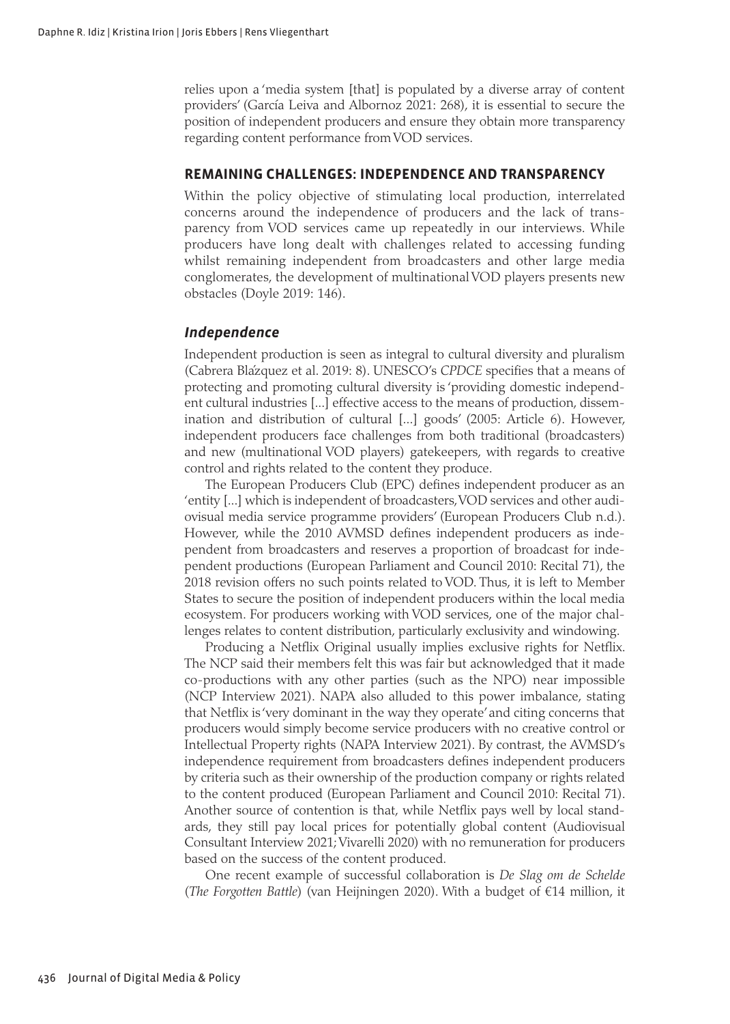relies upon a 'media system [that] is populated by a diverse array of content providers' (García Leiva and Albornoz 2021: 268), it is essential to secure the position of independent producers and ensure they obtain more transparency regarding content performance from VOD services.

#### **REMAINING CHALLENGES: INDEPENDENCE AND TRANSPARENCY**

Within the policy objective of stimulating local production, interrelated concerns around the independence of producers and the lack of transparency from VOD services came up repeatedly in our interviews. While producers have long dealt with challenges related to accessing funding whilst remaining independent from broadcasters and other large media conglomerates, the development of multinational VOD players presents new obstacles (Doyle 2019: 146).

#### *Independence*

Independent production is seen as integral to cultural diversity and pluralism (Cabrera Blázquez et al. 2019: 8). UNESCO's *CPDCE* specifies that a means of protecting and promoting cultural diversity is 'providing domestic independent cultural industries [...] effective access to the means of production, dissemination and distribution of cultural [...] goods' (2005: Article 6). However, independent producers face challenges from both traditional (broadcasters) and new (multinational VOD players) gatekeepers, with regards to creative control and rights related to the content they produce.

The European Producers Club (EPC) defines independent producer as an 'entity [...] which is independent of broadcasters, VOD services and other audiovisual media service programme providers' (European Producers Club n.d.). However, while the 2010 AVMSD defines independent producers as independent from broadcasters and reserves a proportion of broadcast for independent productions (European Parliament and Council 2010: Recital 71), the 2018 revision offers no such points related to VOD. Thus, it is left to Member States to secure the position of independent producers within the local media ecosystem. For producers working with VOD services, one of the major challenges relates to content distribution, particularly exclusivity and windowing.

Producing a Netflix Original usually implies exclusive rights for Netflix. The NCP said their members felt this was fair but acknowledged that it made co-productions with any other parties (such as the NPO) near impossible (NCP Interview 2021). NAPA also alluded to this power imbalance, stating that Netflix is 'very dominant in the way they operate' and citing concerns that producers would simply become service producers with no creative control or Intellectual Property rights (NAPA Interview 2021). By contrast, the AVMSD's independence requirement from broadcasters defines independent producers by criteria such as their ownership of the production company or rights related to the content produced (European Parliament and Council 2010: Recital 71). Another source of contention is that, while Netflix pays well by local standards, they still pay local prices for potentially global content (Audiovisual Consultant Interview 2021; Vivarelli 2020) with no remuneration for producers based on the success of the content produced.

One recent example of successful collaboration is *De Slag om de Schelde* (*The Forgotten Battle*) (van Heijningen 2020). With a budget of €14 million, it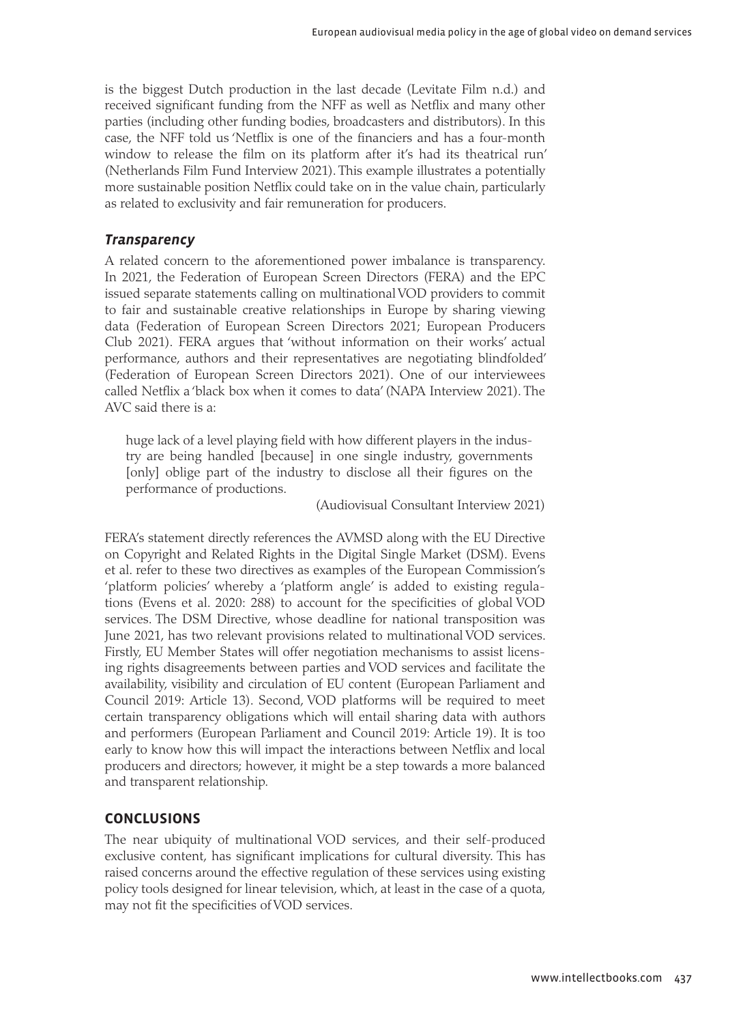is the biggest Dutch production in the last decade (Levitate Film n.d.) and received significant funding from the NFF as well as Netflix and many other parties (including other funding bodies, broadcasters and distributors). In this case, the NFF told us 'Netflix is one of the financiers and has a four-month window to release the film on its platform after it's had its theatrical run' (Netherlands Film Fund Interview 2021). This example illustrates a potentially more sustainable position Netflix could take on in the value chain, particularly as related to exclusivity and fair remuneration for producers.

#### *Transparency*

A related concern to the aforementioned power imbalance is transparency. In 2021, the Federation of European Screen Directors (FERA) and the EPC issued separate statements calling on multinational VOD providers to commit to fair and sustainable creative relationships in Europe by sharing viewing data (Federation of European Screen Directors 2021; European Producers Club 2021). FERA argues that 'without information on their works' actual performance, authors and their representatives are negotiating blindfolded' (Federation of European Screen Directors 2021). One of our interviewees called Netflix a 'black box when it comes to data' (NAPA Interview 2021). The AVC said there is a:

huge lack of a level playing field with how different players in the industry are being handled [because] in one single industry, governments [only] oblige part of the industry to disclose all their figures on the performance of productions.

(Audiovisual Consultant Interview 2021)

FERA's statement directly references the AVMSD along with the EU Directive on Copyright and Related Rights in the Digital Single Market (DSM). Evens et al. refer to these two directives as examples of the European Commission's 'platform policies' whereby a 'platform angle' is added to existing regulations (Evens et al. 2020: 288) to account for the specificities of global VOD services. The DSM Directive, whose deadline for national transposition was June 2021, has two relevant provisions related to multinational VOD services. Firstly, EU Member States will offer negotiation mechanisms to assist licensing rights disagreements between parties and VOD services and facilitate the availability, visibility and circulation of EU content (European Parliament and Council 2019: Article 13). Second, VOD platforms will be required to meet certain transparency obligations which will entail sharing data with authors and performers (European Parliament and Council 2019: Article 19). It is too early to know how this will impact the interactions between Netflix and local producers and directors; however, it might be a step towards a more balanced and transparent relationship.

#### **CONCLUSIONS**

The near ubiquity of multinational VOD services, and their self-produced exclusive content, has significant implications for cultural diversity. This has raised concerns around the effective regulation of these services using existing policy tools designed for linear television, which, at least in the case of a quota, may not fit the specificities of VOD services.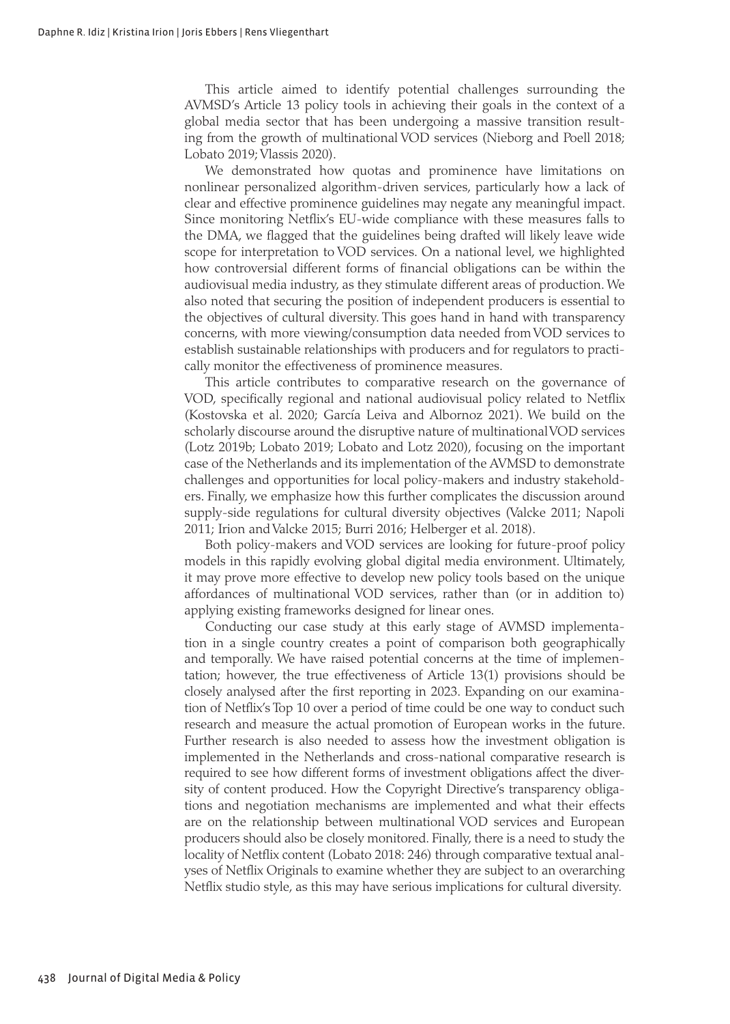This article aimed to identify potential challenges surrounding the AVMSD's Article 13 policy tools in achieving their goals in the context of a global media sector that has been undergoing a massive transition resulting from the growth of multinational VOD services (Nieborg and Poell 2018; Lobato 2019; Vlassis 2020).

We demonstrated how quotas and prominence have limitations on nonlinear personalized algorithm-driven services, particularly how a lack of clear and effective prominence guidelines may negate any meaningful impact. Since monitoring Netflix's EU-wide compliance with these measures falls to the DMA, we flagged that the guidelines being drafted will likely leave wide scope for interpretation to VOD services. On a national level, we highlighted how controversial different forms of financial obligations can be within the audiovisual media industry, as they stimulate different areas of production. We also noted that securing the position of independent producers is essential to the objectives of cultural diversity. This goes hand in hand with transparency concerns, with more viewing/consumption data needed from VOD services to establish sustainable relationships with producers and for regulators to practically monitor the effectiveness of prominence measures.

This article contributes to comparative research on the governance of VOD, specifically regional and national audiovisual policy related to Netflix (Kostovska et al. 2020; García Leiva and Albornoz 2021). We build on the scholarly discourse around the disruptive nature of multinational VOD services (Lotz 2019b; Lobato 2019; Lobato and Lotz 2020), focusing on the important case of the Netherlands and its implementation of the AVMSD to demonstrate challenges and opportunities for local policy-makers and industry stakeholders. Finally, we emphasize how this further complicates the discussion around supply-side regulations for cultural diversity objectives (Valcke 2011; Napoli 2011; Irion and Valcke 2015; Burri 2016; Helberger et al. 2018).

Both policy-makers and VOD services are looking for future-proof policy models in this rapidly evolving global digital media environment. Ultimately, it may prove more effective to develop new policy tools based on the unique affordances of multinational VOD services, rather than (or in addition to) applying existing frameworks designed for linear ones.

Conducting our case study at this early stage of AVMSD implementation in a single country creates a point of comparison both geographically and temporally. We have raised potential concerns at the time of implementation; however, the true effectiveness of Article 13(1) provisions should be closely analysed after the first reporting in 2023. Expanding on our examination of Netflix's Top 10 over a period of time could be one way to conduct such research and measure the actual promotion of European works in the future. Further research is also needed to assess how the investment obligation is implemented in the Netherlands and cross-national comparative research is required to see how different forms of investment obligations affect the diversity of content produced. How the Copyright Directive's transparency obligations and negotiation mechanisms are implemented and what their effects are on the relationship between multinational VOD services and European producers should also be closely monitored. Finally, there is a need to study the locality of Netflix content (Lobato 2018: 246) through comparative textual analyses of Netflix Originals to examine whether they are subject to an overarching Netflix studio style, as this may have serious implications for cultural diversity.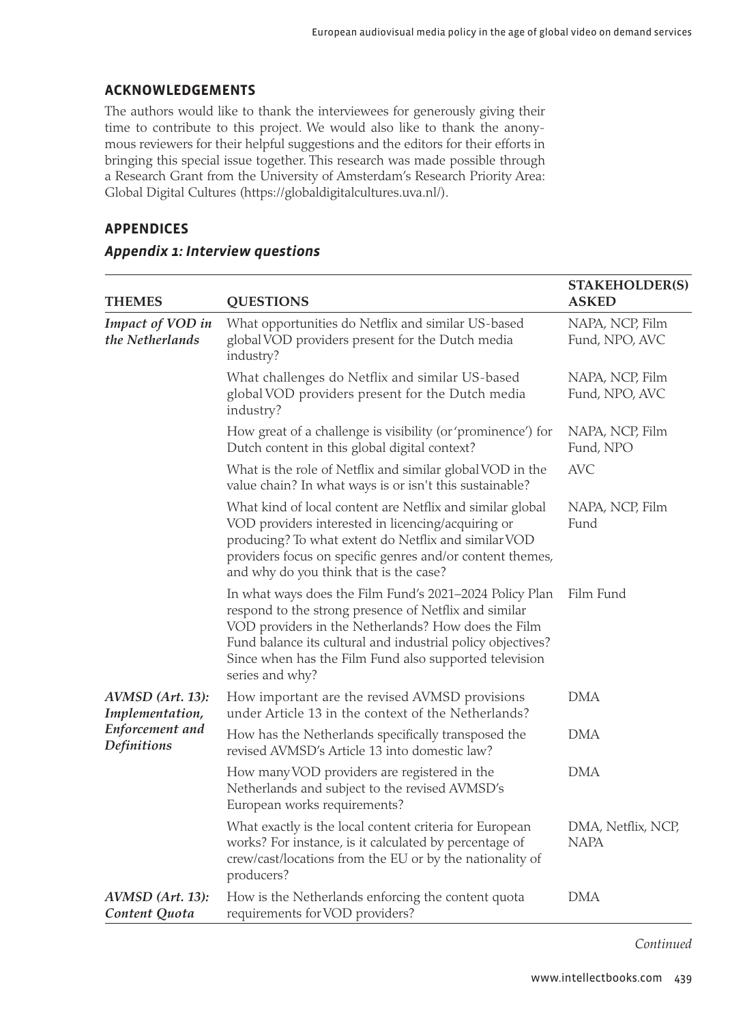#### **ACKNOWLEDGEMENTS**

The authors would like to thank the interviewees for generously giving their time to contribute to this project. We would also like to thank the anonymous reviewers for their helpful suggestions and the editors for their efforts in bringing this special issue together. This research was made possible through a Research Grant from the University of Amsterdam's Research Priority Area: Global Digital Cultures (<https://globaldigitalcultures.uva.nl/>).

#### **APPENDICES**

| <b>THEMES</b>                                                         | <b>QUESTIONS</b>                                                                                                                                                                                                                                                                                                    | <b>STAKEHOLDER(S)</b><br><b>ASKED</b> |
|-----------------------------------------------------------------------|---------------------------------------------------------------------------------------------------------------------------------------------------------------------------------------------------------------------------------------------------------------------------------------------------------------------|---------------------------------------|
| Impact of VOD in<br>the Netherlands                                   | What opportunities do Netflix and similar US-based<br>global VOD providers present for the Dutch media<br>industry?                                                                                                                                                                                                 | NAPA, NCP, Film<br>Fund, NPO, AVC     |
|                                                                       | What challenges do Netflix and similar US-based<br>global VOD providers present for the Dutch media<br>industry?                                                                                                                                                                                                    | NAPA, NCP, Film<br>Fund, NPO, AVC     |
|                                                                       | How great of a challenge is visibility (or 'prominence') for<br>Dutch content in this global digital context?                                                                                                                                                                                                       | NAPA, NCP, Film<br>Fund, NPO          |
|                                                                       | What is the role of Netflix and similar global VOD in the<br>value chain? In what ways is or isn't this sustainable?                                                                                                                                                                                                | <b>AVC</b>                            |
|                                                                       | What kind of local content are Netflix and similar global<br>VOD providers interested in licencing/acquiring or<br>producing? To what extent do Netflix and similar VOD<br>providers focus on specific genres and/or content themes,<br>and why do you think that is the case?                                      | NAPA, NCP, Film<br>Fund               |
|                                                                       | In what ways does the Film Fund's 2021-2024 Policy Plan<br>respond to the strong presence of Netflix and similar<br>VOD providers in the Netherlands? How does the Film<br>Fund balance its cultural and industrial policy objectives?<br>Since when has the Film Fund also supported television<br>series and why? | Film Fund                             |
| AVMSD (Art. 13):<br>Implementation,<br>Enforcement and<br>Definitions | How important are the revised AVMSD provisions<br>under Article 13 in the context of the Netherlands?                                                                                                                                                                                                               | <b>DMA</b>                            |
|                                                                       | How has the Netherlands specifically transposed the<br>revised AVMSD's Article 13 into domestic law?                                                                                                                                                                                                                | DMA                                   |
|                                                                       | How many VOD providers are registered in the<br>Netherlands and subject to the revised AVMSD's<br>European works requirements?                                                                                                                                                                                      | <b>DMA</b>                            |
|                                                                       | What exactly is the local content criteria for European<br>works? For instance, is it calculated by percentage of<br>crew/cast/locations from the EU or by the nationality of<br>producers?                                                                                                                         | DMA, Netflix, NCP,<br><b>NAPA</b>     |
| AVMSD (Art. 13):<br>Content Quota                                     | How is the Netherlands enforcing the content quota<br>requirements for VOD providers?                                                                                                                                                                                                                               | <b>DMA</b>                            |

#### *Appendix 1: Interview questions*

*Continued*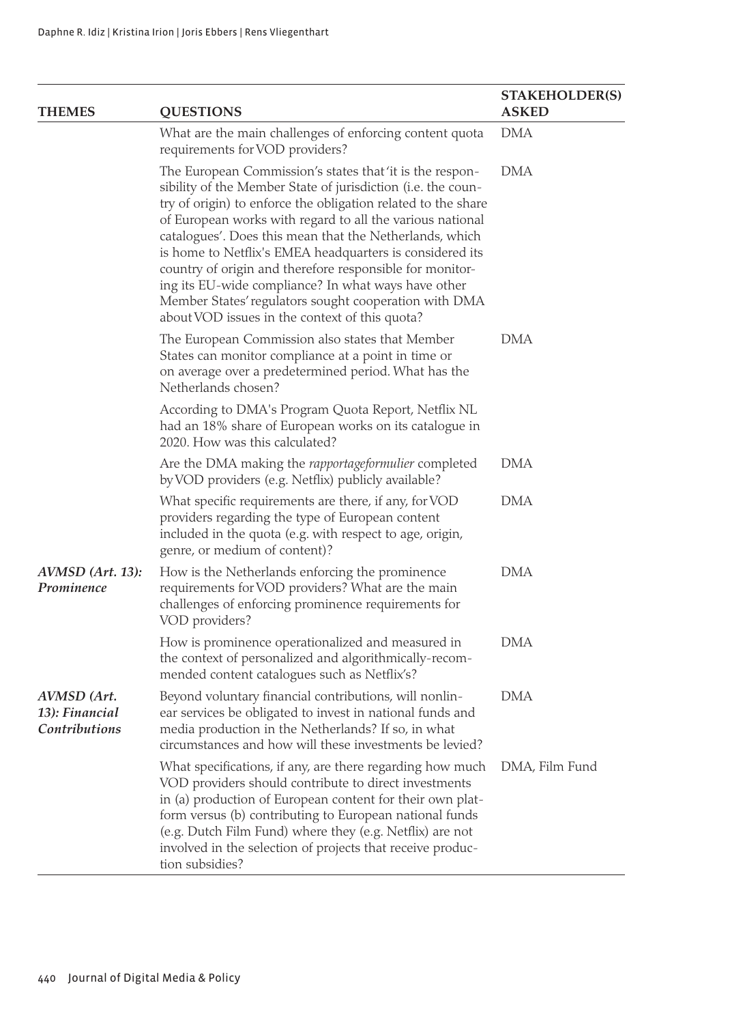| <b>THEMES</b>                                  | <b>QUESTIONS</b>                                                                                                                                                                                                                                                                                                                                                                                                                                                                                                                                                                                           | <b>STAKEHOLDER(S)</b><br><b>ASKED</b> |
|------------------------------------------------|------------------------------------------------------------------------------------------------------------------------------------------------------------------------------------------------------------------------------------------------------------------------------------------------------------------------------------------------------------------------------------------------------------------------------------------------------------------------------------------------------------------------------------------------------------------------------------------------------------|---------------------------------------|
|                                                | What are the main challenges of enforcing content quota<br>requirements for VOD providers?                                                                                                                                                                                                                                                                                                                                                                                                                                                                                                                 | DMA                                   |
|                                                | The European Commission's states that'it is the respon-<br>sibility of the Member State of jurisdiction (i.e. the coun-<br>try of origin) to enforce the obligation related to the share<br>of European works with regard to all the various national<br>catalogues'. Does this mean that the Netherlands, which<br>is home to Netflix's EMEA headquarters is considered its<br>country of origin and therefore responsible for monitor-<br>ing its EU-wide compliance? In what ways have other<br>Member States' regulators sought cooperation with DMA<br>about VOD issues in the context of this quota? | DMA                                   |
|                                                | The European Commission also states that Member<br>States can monitor compliance at a point in time or<br>on average over a predetermined period. What has the<br>Netherlands chosen?                                                                                                                                                                                                                                                                                                                                                                                                                      | <b>DMA</b>                            |
|                                                | According to DMA's Program Quota Report, Netflix NL<br>had an 18% share of European works on its catalogue in<br>2020. How was this calculated?                                                                                                                                                                                                                                                                                                                                                                                                                                                            |                                       |
|                                                | Are the DMA making the rapportageformulier completed<br>by VOD providers (e.g. Netflix) publicly available?                                                                                                                                                                                                                                                                                                                                                                                                                                                                                                | DMA                                   |
|                                                | What specific requirements are there, if any, for VOD<br>providers regarding the type of European content<br>included in the quota (e.g. with respect to age, origin,<br>genre, or medium of content)?                                                                                                                                                                                                                                                                                                                                                                                                     | DMA                                   |
| AVMSD (Art. 13):<br>Prominence                 | How is the Netherlands enforcing the prominence<br>requirements for VOD providers? What are the main<br>challenges of enforcing prominence requirements for<br>VOD providers?                                                                                                                                                                                                                                                                                                                                                                                                                              | DMA                                   |
|                                                | How is prominence operationalized and measured in<br>the context of personalized and algorithmically-recom-<br>mended content catalogues such as Netflix's?                                                                                                                                                                                                                                                                                                                                                                                                                                                | DMA                                   |
| AVMSD (Art.<br>13): Financial<br>Contributions | Beyond voluntary financial contributions, will nonlin-<br>ear services be obligated to invest in national funds and<br>media production in the Netherlands? If so, in what<br>circumstances and how will these investments be levied?                                                                                                                                                                                                                                                                                                                                                                      | DMA                                   |
|                                                | What specifications, if any, are there regarding how much<br>VOD providers should contribute to direct investments<br>in (a) production of European content for their own plat-<br>form versus (b) contributing to European national funds<br>(e.g. Dutch Film Fund) where they (e.g. Netflix) are not<br>involved in the selection of projects that receive produc-<br>tion subsidies?                                                                                                                                                                                                                    | DMA, Film Fund                        |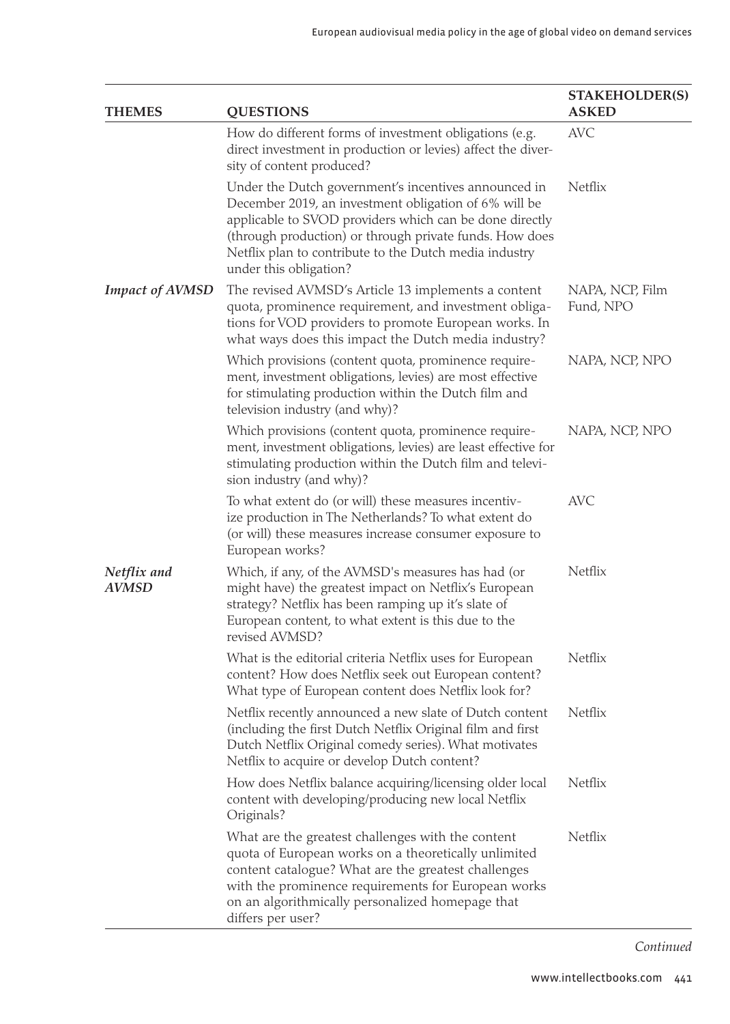| <b>THEMES</b>          | <b>QUESTIONS</b>                                                                                                                                                                                                                                                                                                        | <b>STAKEHOLDER(S)</b><br><b>ASKED</b> |
|------------------------|-------------------------------------------------------------------------------------------------------------------------------------------------------------------------------------------------------------------------------------------------------------------------------------------------------------------------|---------------------------------------|
|                        | How do different forms of investment obligations (e.g.<br>direct investment in production or levies) affect the diver-<br>sity of content produced?                                                                                                                                                                     | AVC.                                  |
|                        | Under the Dutch government's incentives announced in<br>December 2019, an investment obligation of 6% will be<br>applicable to SVOD providers which can be done directly<br>(through production) or through private funds. How does<br>Netflix plan to contribute to the Dutch media industry<br>under this obligation? | Netflix                               |
| <b>Impact of AVMSD</b> | The revised AVMSD's Article 13 implements a content<br>quota, prominence requirement, and investment obliga-<br>tions for VOD providers to promote European works. In<br>what ways does this impact the Dutch media industry?                                                                                           | NAPA, NCP, Film<br>Fund, NPO          |
|                        | Which provisions (content quota, prominence require-<br>ment, investment obligations, levies) are most effective<br>for stimulating production within the Dutch film and<br>television industry (and why)?                                                                                                              | NAPA, NCP, NPO                        |
|                        | Which provisions (content quota, prominence require-<br>ment, investment obligations, levies) are least effective for<br>stimulating production within the Dutch film and televi-<br>sion industry (and why)?                                                                                                           | NAPA, NCP, NPO                        |
|                        | To what extent do (or will) these measures incentiv-<br>ize production in The Netherlands? To what extent do<br>(or will) these measures increase consumer exposure to<br>European works?                                                                                                                               | AVC                                   |
| Netflix and<br>AVMSD   | Which, if any, of the AVMSD's measures has had (or<br>might have) the greatest impact on Netflix's European<br>strategy? Netflix has been ramping up it's slate of<br>European content, to what extent is this due to the<br>revised AVMSD?                                                                             | Netflix                               |
|                        | What is the editorial criteria Netflix uses for European<br>content? How does Netflix seek out European content?<br>What type of European content does Netflix look for?                                                                                                                                                | Netflix                               |
|                        | Netflix recently announced a new slate of Dutch content<br>(including the first Dutch Netflix Original film and first<br>Dutch Netflix Original comedy series). What motivates<br>Netflix to acquire or develop Dutch content?                                                                                          | Netflix                               |
|                        | How does Netflix balance acquiring/licensing older local<br>content with developing/producing new local Netflix<br>Originals?                                                                                                                                                                                           | Netflix                               |
|                        | What are the greatest challenges with the content<br>quota of European works on a theoretically unlimited<br>content catalogue? What are the greatest challenges<br>with the prominence requirements for European works<br>on an algorithmically personalized homepage that<br>differs per user?                        | Netflix                               |

*Continued*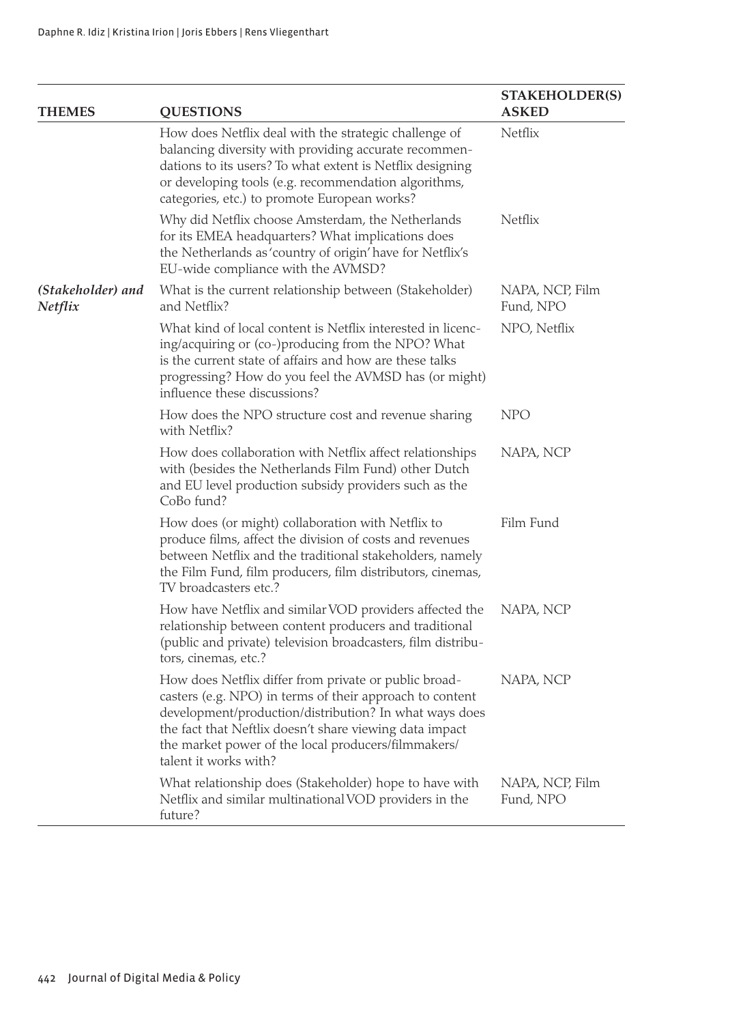| <b>THEMES</b>                | <b>QUESTIONS</b>                                                                                                                                                                                                                                                                                                       | <b>STAKEHOLDER(S)</b><br><b>ASKED</b> |
|------------------------------|------------------------------------------------------------------------------------------------------------------------------------------------------------------------------------------------------------------------------------------------------------------------------------------------------------------------|---------------------------------------|
|                              | How does Netflix deal with the strategic challenge of<br>balancing diversity with providing accurate recommen-<br>dations to its users? To what extent is Netflix designing<br>or developing tools (e.g. recommendation algorithms,<br>categories, etc.) to promote European works?                                    | Netflix                               |
|                              | Why did Netflix choose Amsterdam, the Netherlands<br>for its EMEA headquarters? What implications does<br>the Netherlands as 'country of origin' have for Netflix's<br>EU-wide compliance with the AVMSD?                                                                                                              | Netflix                               |
| (Stakeholder) and<br>Netflix | What is the current relationship between (Stakeholder)<br>and Netflix?                                                                                                                                                                                                                                                 | NAPA, NCP, Film<br>Fund, NPO          |
|                              | What kind of local content is Netflix interested in licenc-<br>ing/acquiring or (co-)producing from the NPO? What<br>is the current state of affairs and how are these talks<br>progressing? How do you feel the AVMSD has (or might)<br>influence these discussions?                                                  | NPO, Netflix                          |
|                              | How does the NPO structure cost and revenue sharing<br>with Netflix?                                                                                                                                                                                                                                                   | <b>NPO</b>                            |
|                              | How does collaboration with Netflix affect relationships<br>with (besides the Netherlands Film Fund) other Dutch<br>and EU level production subsidy providers such as the<br>CoBo fund?                                                                                                                                | NAPA, NCP                             |
|                              | How does (or might) collaboration with Netflix to<br>produce films, affect the division of costs and revenues<br>between Netflix and the traditional stakeholders, namely<br>the Film Fund, film producers, film distributors, cinemas,<br>TV broadcasters etc.?                                                       | Film Fund                             |
|                              | How have Netflix and similar VOD providers affected the<br>relationship between content producers and traditional<br>(public and private) television broadcasters, film distribu-<br>tors, cinemas, etc.?                                                                                                              | NAPA, NCP                             |
|                              | How does Netflix differ from private or public broad-<br>casters (e.g. NPO) in terms of their approach to content<br>development/production/distribution? In what ways does<br>the fact that Neftlix doesn't share viewing data impact<br>the market power of the local producers/filmmakers/<br>talent it works with? | NAPA, NCP                             |
|                              | What relationship does (Stakeholder) hope to have with<br>Netflix and similar multinational VOD providers in the<br>future?                                                                                                                                                                                            | NAPA, NCP, Film<br>Fund, NPO          |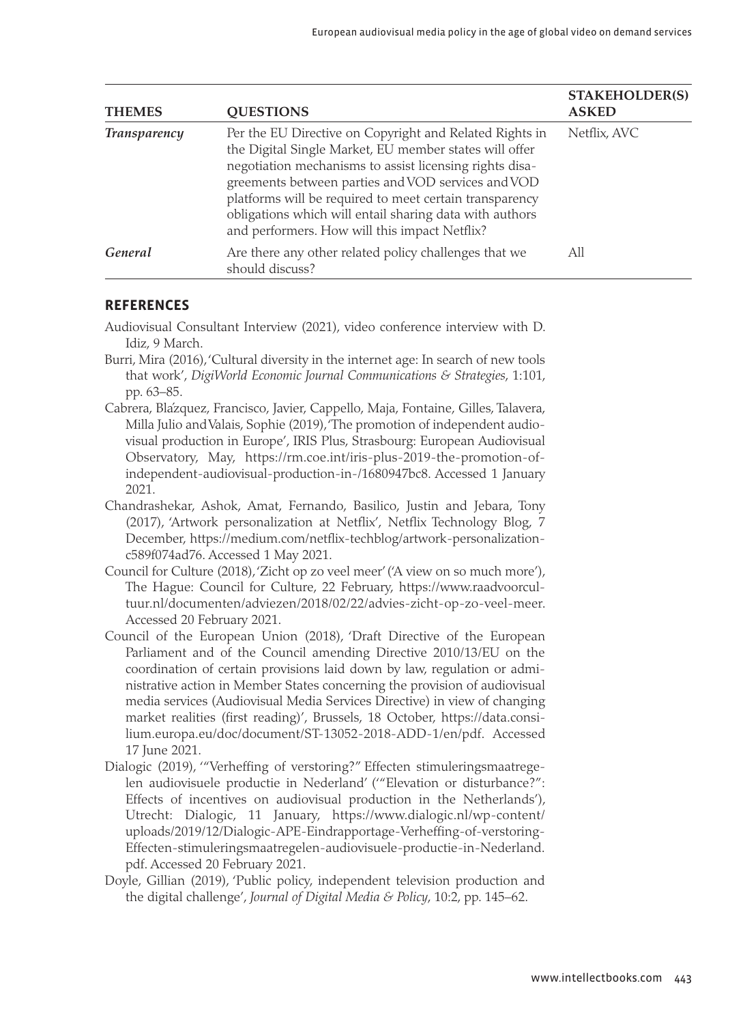| <b>THEMES</b>       | <b>OUESTIONS</b>                                                                                                                                                                                                                                                                                                                                                                                          | <b>STAKEHOLDER(S)</b><br><b>ASKED</b> |
|---------------------|-----------------------------------------------------------------------------------------------------------------------------------------------------------------------------------------------------------------------------------------------------------------------------------------------------------------------------------------------------------------------------------------------------------|---------------------------------------|
| <b>Transparency</b> | Per the EU Directive on Copyright and Related Rights in<br>the Digital Single Market, EU member states will offer<br>negotiation mechanisms to assist licensing rights disa-<br>greements between parties and VOD services and VOD<br>platforms will be required to meet certain transparency<br>obligations which will entail sharing data with authors<br>and performers. How will this impact Netflix? | Netflix, AVC                          |
| General             | Are there any other related policy challenges that we<br>should discuss?                                                                                                                                                                                                                                                                                                                                  | All                                   |

#### **REFERENCES**

Audiovisual Consultant Interview (2021), video conference interview with D. Idiz, 9 March.

- Burri, Mira (2016), 'Cultural diversity in the internet age: In search of new tools that work', *DigiWorld Economic Journal Communications & Strategies*, 1:101, pp. 63–85.
- Cabrera, Blázquez, Francisco, Javier, Cappello, Maja, Fontaine, Gilles, Talavera, Milla Julio and Valais, Sophie (2019), 'The promotion of independent audiovisual production in Europe', IRIS Plus, Strasbourg: European Audiovisual Observatory, May, [https://rm.coe.int/iris-plus-2019-the-promotion-of](https://rm.coe.int/iris-plus-2019-the-promotion-of-independent-audiovisual-production-in-/1680947bc8)[independent-audiovisual-production-in-/1680947bc8](https://rm.coe.int/iris-plus-2019-the-promotion-of-independent-audiovisual-production-in-/1680947bc8). Accessed 1 January 2021.
- Chandrashekar, Ashok, Amat, Fernando, Basilico, Justin and Jebara, Tony (2017), 'Artwork personalization at Netflix', Netflix Technology Blog, 7 December, [https://medium.com/netflix-techblog/artwork-personalization](https://medium.com/netflix-techblog/artwork-personalization-c589f074ad76)[c589f074ad76.](https://medium.com/netflix-techblog/artwork-personalization-c589f074ad76) Accessed 1 May 2021.
- Council for Culture (2018), 'Zicht op zo veel meer' ('A view on so much more'), The Hague: Council for Culture, 22 February, [https://www.raadvoorcul](https://www.raadvoorcultuur.nl/documenten/adviezen/2018/02/22/advies-zicht-op-zo-veel-meer)[tuur.nl/documenten/adviezen/2018/02/22/advies-zicht-op-zo-veel-meer.](https://www.raadvoorcultuur.nl/documenten/adviezen/2018/02/22/advies-zicht-op-zo-veel-meer) Accessed 20 February 2021.
- Council of the European Union (2018), 'Draft Directive of the European Parliament and of the Council amending Directive 2010/13/EU on the coordination of certain provisions laid down by law, regulation or administrative action in Member States concerning the provision of audiovisual media services (Audiovisual Media Services Directive) in view of changing market realities (first reading)', Brussels, 18 October, [https://data.consi](https://data.consilium.europa.eu/doc/document/ST-13052-2018-ADD-1/en/pdf)[lium.europa.eu/doc/document/ST-13052-2018-ADD-1/en/pdf](https://data.consilium.europa.eu/doc/document/ST-13052-2018-ADD-1/en/pdf). Accessed 17 June 2021.
- Dialogic (2019), '"Verheffing of verstoring?" Effecten stimuleringsmaatregelen audiovisuele productie in Nederland' ('"Elevation or disturbance?": Effects of incentives on audiovisual production in the Netherlands'), Utrecht: Dialogic, 11 January, [https://www.dialogic.nl/wp-content/](https://www.dialogic.nl/wp-content/uploads/2019/12/Dialogic-APE-Eindrapportage-Verheffing-of-verstoring-Effecten-stimuleringsmaatregelen-audiovisuele-productie-in-Nederland.pdf) [uploads/2019/12/Dialogic-APE-Eindrapportage-Verheffing-of-verstoring-](https://www.dialogic.nl/wp-content/uploads/2019/12/Dialogic-APE-Eindrapportage-Verheffing-of-verstoring-Effecten-stimuleringsmaatregelen-audiovisuele-productie-in-Nederland.pdf)[Effecten-stimuleringsmaatregelen-audiovisuele-productie-in-Nederland.](https://www.dialogic.nl/wp-content/uploads/2019/12/Dialogic-APE-Eindrapportage-Verheffing-of-verstoring-Effecten-stimuleringsmaatregelen-audiovisuele-productie-in-Nederland.pdf) [pdf.](https://www.dialogic.nl/wp-content/uploads/2019/12/Dialogic-APE-Eindrapportage-Verheffing-of-verstoring-Effecten-stimuleringsmaatregelen-audiovisuele-productie-in-Nederland.pdf) Accessed 20 February 2021.
- Doyle, Gillian (2019), 'Public policy, independent television production and the digital challenge', *Journal of Digital Media & Policy*, 10:2, pp. 145–62.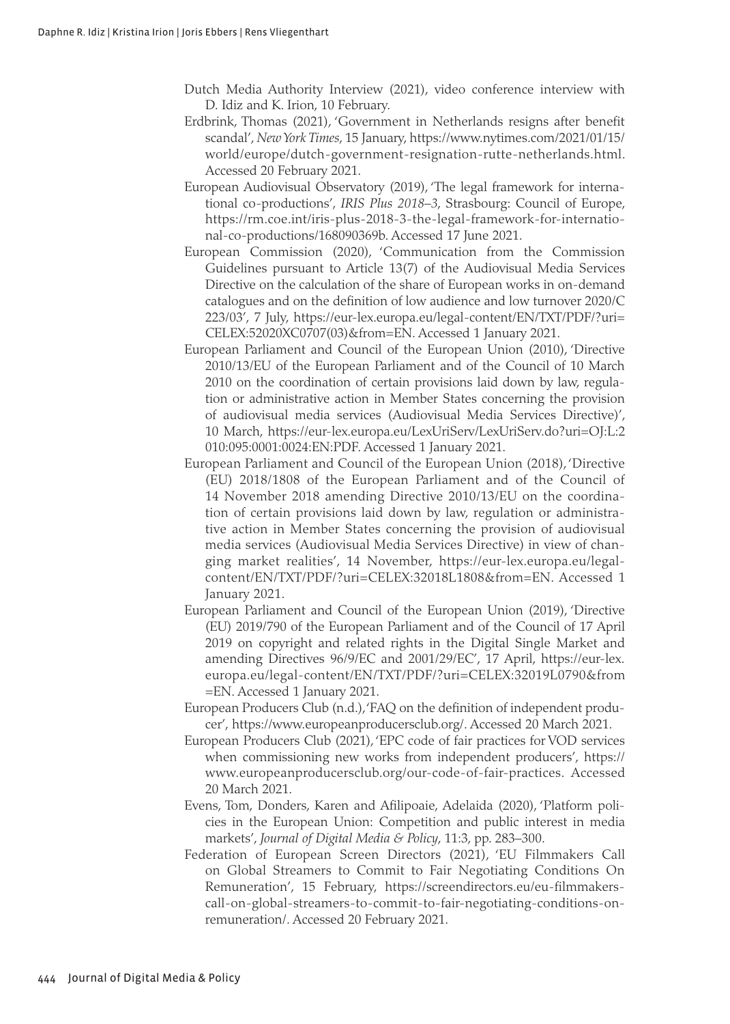- Dutch Media Authority Interview (2021), video conference interview with D. Idiz and K. Irion, 10 February.
- Erdbrink, Thomas (2021), 'Government in Netherlands resigns after benefit scandal', *New York Times*, 15 January, [https://www.nytimes.com/2021/01/15/](https://www.nytimes.com/2021/01/15/world/europe/dutch-government-resignation-rutte-netherlands.html) [world/europe/dutch-government-resignation-rutte-netherlands.html](https://www.nytimes.com/2021/01/15/world/europe/dutch-government-resignation-rutte-netherlands.html). Accessed 20 February 2021.
- European Audiovisual Observatory (2019), 'The legal framework for international co-productions', *IRIS Plus 2018*–*3*, Strasbourg: Council of Europe, [https://rm.coe.int/iris-plus-2018-3-the-legal-framework-for-internatio](https://rm.coe.int/iris-plus-2018-3-the-legal-framework-for-international-co-productions/168090369b)[nal-co-productions/168090369b](https://rm.coe.int/iris-plus-2018-3-the-legal-framework-for-international-co-productions/168090369b). Accessed 17 June 2021.
- European Commission (2020), 'Communication from the Commission Guidelines pursuant to Article 13(7) of the Audiovisual Media Services Directive on the calculation of the share of European works in on-demand catalogues and on the definition of low audience and low turnover 2020/C 223/03', 7 July, [https://eur-lex.europa.eu/legal-content/EN/TXT/PDF/?uri=](https://eur-lex.europa.eu/legal-content/EN/TXT/PDF/?uri=CELEX:52020XC0707(03)&from=EN) [CELEX:52020XC0707\(03\)&from=EN.](https://eur-lex.europa.eu/legal-content/EN/TXT/PDF/?uri=CELEX:52020XC0707(03)&from=EN) Accessed 1 January 2021.
- European Parliament and Council of the European Union (2010), 'Directive 2010/13/EU of the European Parliament and of the Council of 10 March 2010 on the coordination of certain provisions laid down by law, regulation or administrative action in Member States concerning the provision of audiovisual media services (Audiovisual Media Services Directive)', 10 March, [https://eur-lex.europa.eu/LexUriServ/LexUriServ.do?uri=OJ:L:2](https://eur-lex.europa.eu/LexUriServ/LexUriServ.do?uri=OJ:L:2010:095:0001:0024:EN:PDF) [010:095:0001:0024:EN:PDF.](https://eur-lex.europa.eu/LexUriServ/LexUriServ.do?uri=OJ:L:2010:095:0001:0024:EN:PDF) Accessed 1 January 2021.
- European Parliament and Council of the European Union (2018), 'Directive (EU) 2018/1808 of the European Parliament and of the Council of 14 November 2018 amending Directive 2010/13/EU on the coordination of certain provisions laid down by law, regulation or administrative action in Member States concerning the provision of audiovisual media services (Audiovisual Media Services Directive) in view of changing market realities', 14 November, [https://eur-lex.europa.eu/legal](https://eur-lex.europa.eu/legal-content/EN/TXT/PDF/?uri=CELEX:32018L1808&from=EN)[content/EN/TXT/PDF/?uri=CELEX:32018L1808&from=EN](https://eur-lex.europa.eu/legal-content/EN/TXT/PDF/?uri=CELEX:32018L1808&from=EN). Accessed 1 January 2021.
- European Parliament and Council of the European Union (2019), 'Directive (EU) 2019/790 of the European Parliament and of the Council of 17 April 2019 on copyright and related rights in the Digital Single Market and amending Directives 96/9/EC and 2001/29/EC', 17 April, [https://eur-lex.](https://eur-lex.europa.eu/legal-content/EN/TXT/PDF/?uri=CELEX:32019L0790&from=EN) [europa.eu/legal-content/EN/TXT/PDF/?uri=CELEX:32019L0790&from](https://eur-lex.europa.eu/legal-content/EN/TXT/PDF/?uri=CELEX:32019L0790&from=EN) [=EN](https://eur-lex.europa.eu/legal-content/EN/TXT/PDF/?uri=CELEX:32019L0790&from=EN). Accessed 1 January 2021.
- European Producers Club (n.d.), 'FAQ on the definition of independent producer', [https://www.europeanproducersclub.org/.](https://www.europeanproducersclub.org/) Accessed 20 March 2021.
- European Producers Club (2021), 'EPC code of fair practices for VOD services when commissioning new works from independent producers', [https://](https://www.europeanproducersclub.org/our-code-of-fair-practices) [www.europeanproducersclub.org/our-code-of-fair-practices](https://www.europeanproducersclub.org/our-code-of-fair-practices). Accessed 20 March 2021.
- Evens, Tom, Donders, Karen and Afilipoaie, Adelaida (2020), 'Platform policies in the European Union: Competition and public interest in media markets', *Journal of Digital Media & Policy*, 11:3, pp. 283–300.
- Federation of European Screen Directors (2021), 'EU Filmmakers Call on Global Streamers to Commit to Fair Negotiating Conditions On Remuneration', 15 February, [https://screendirectors.eu/eu-filmmakers](https://screendirectors.eu/eu-filmmakers-call-on-global-streamers-to-commit-to-fair-negotiating-conditions-on-remuneration/)[call-on-global-streamers-to-commit-to-fair-negotiating-conditions-on](https://screendirectors.eu/eu-filmmakers-call-on-global-streamers-to-commit-to-fair-negotiating-conditions-on-remuneration/)[remuneration/.](https://screendirectors.eu/eu-filmmakers-call-on-global-streamers-to-commit-to-fair-negotiating-conditions-on-remuneration/) Accessed 20 February 2021.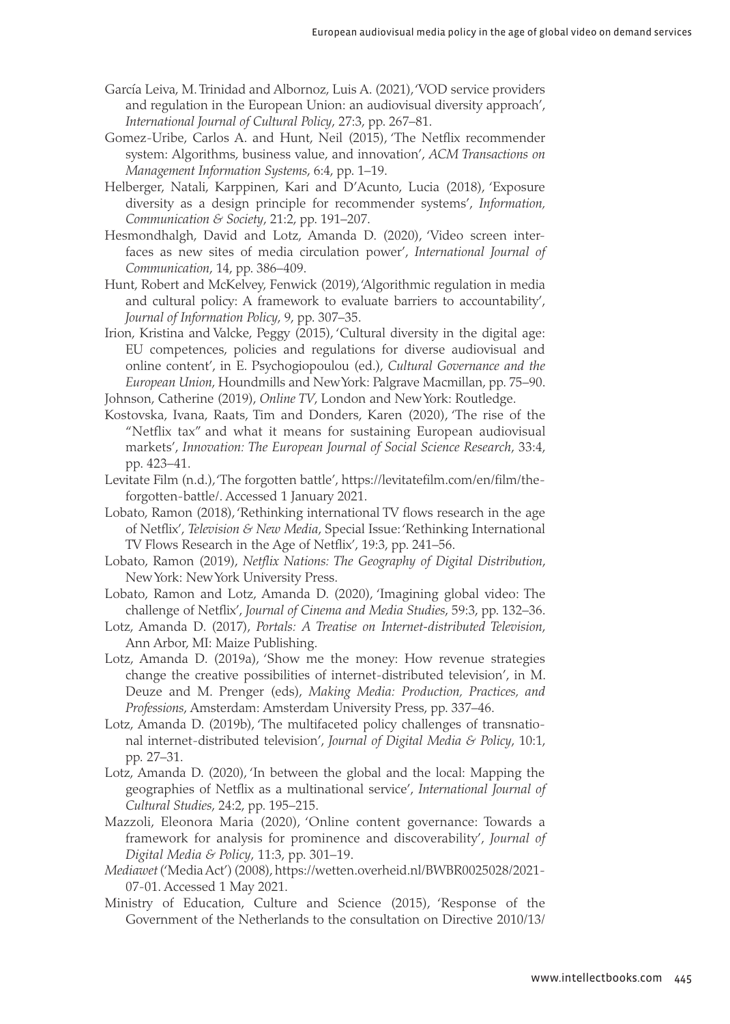- García Leiva, M. Trinidad and Albornoz, Luis A. (2021), 'VOD service providers and regulation in the European Union: an audiovisual diversity approach', *International Journal of Cultural Policy*, 27:3, pp. 267–81.
- Gomez-Uribe, Carlos A. and Hunt, Neil (2015), 'The Netflix recommender system: Algorithms, business value, and innovation', *ACM Transactions on Management Information Systems*, 6:4, pp. 1–19.
- Helberger, Natali, Karppinen, Kari and D'Acunto, Lucia (2018), 'Exposure diversity as a design principle for recommender systems', *Information, Communication & Society*, 21:2, pp. 191–207.
- Hesmondhalgh, David and Lotz, Amanda D. (2020), 'Video screen interfaces as new sites of media circulation power', *International Journal of Communication*, 14, pp. 386–409.
- Hunt, Robert and McKelvey, Fenwick (2019), 'Algorithmic regulation in media and cultural policy: A framework to evaluate barriers to accountability', *Journal of Information Policy*, 9, pp. 307–35.
- Irion, Kristina and Valcke, Peggy (2015), 'Cultural diversity in the digital age: EU competences, policies and regulations for diverse audiovisual and online content', in E. Psychogiopoulou (ed.), *Cultural Governance and the European Union*, Houndmills and New York: Palgrave Macmillan, pp. 75–90. Johnson, Catherine (2019), *Online TV*, London and New York: Routledge.
- Kostovska, Ivana, Raats, Tim and Donders, Karen (2020), 'The rise of the "Netflix tax" and what it means for sustaining European audiovisual markets', *Innovation: The European Journal of Social Science Research*, 33:4, pp. 423–41.
- Levitate Film (n.d.), 'The forgotten battle', [https://levitatefilm.com/en/film/the](https://levitatefilm.com/en/film/the-forgotten-battle/)[forgotten-battle/](https://levitatefilm.com/en/film/the-forgotten-battle/). Accessed 1 January 2021.
- Lobato, Ramon (2018), 'Rethinking international TV flows research in the age of Netflix', *Television & New Media*, Special Issue: 'Rethinking International TV Flows Research in the Age of Netflix', 19:3, pp. 241–56.
- Lobato, Ramon (2019), *Netflix Nations: The Geography of Digital Distribution*, New York: New York University Press.
- Lobato, Ramon and Lotz, Amanda D. (2020), 'Imagining global video: The challenge of Netflix', *Journal of Cinema and Media Studies*, 59:3, pp. 132–36.
- Lotz, Amanda D. (2017), *Portals: A Treatise on Internet-distributed Television*, Ann Arbor, MI: Maize Publishing.
- Lotz, Amanda D. (2019a), 'Show me the money: How revenue strategies change the creative possibilities of internet-distributed television', in M. Deuze and M. Prenger (eds), *Making Media: Production, Practices, and Professions*, Amsterdam: Amsterdam University Press, pp. 337–46.
- Lotz, Amanda D. (2019b), 'The multifaceted policy challenges of transnational internet-distributed television', *Journal of Digital Media & Policy*, 10:1, pp. 27–31.
- Lotz, Amanda D. (2020), 'In between the global and the local: Mapping the geographies of Netflix as a multinational service', *International Journal of Cultural Studies*, 24:2, pp. 195–215.
- Mazzoli, Eleonora Maria (2020), 'Online content governance: Towards a framework for analysis for prominence and discoverability', *Journal of Digital Media & Policy*, 11:3, pp. 301–19.
- *Mediawet* ('Media Act') (2008), [https://wetten.overheid.nl/BWBR0025028/2021-](https://wetten.overheid.nl/BWBR0025028/2021-07-01) [07-01.](https://wetten.overheid.nl/BWBR0025028/2021-07-01) Accessed 1 May 2021.
- Ministry of Education, Culture and Science (2015), 'Response of the Government of the Netherlands to the consultation on Directive 2010/13/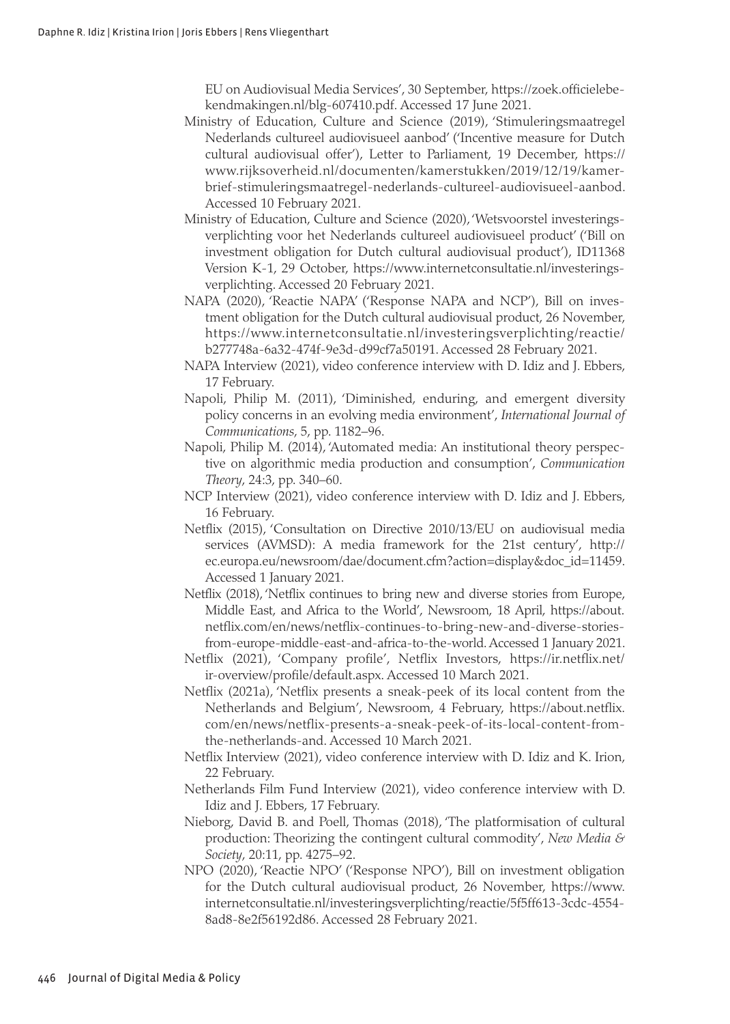EU on Audiovisual Media Services', 30 September, [https://zoek.officielebe](https://zoek.officielebekendmakingen.nl/blg-607410.pdf)[kendmakingen.nl/blg-607410.pdf](https://zoek.officielebekendmakingen.nl/blg-607410.pdf). Accessed 17 June 2021.

- Ministry of Education, Culture and Science (2019), 'Stimuleringsmaatregel Nederlands cultureel audiovisueel aanbod' ('Incentive measure for Dutch cultural audiovisual offer'), Letter to Parliament, 19 December, [https://](https://www.rijksoverheid.nl/documenten/kamerstukken/2019/12/19/kamerbrief-stimuleringsmaatregel-nederlands-cultureel-audiovisueel-aanbod) [www.rijksoverheid.nl/documenten/kamerstukken/2019/12/19/kamer](https://www.rijksoverheid.nl/documenten/kamerstukken/2019/12/19/kamerbrief-stimuleringsmaatregel-nederlands-cultureel-audiovisueel-aanbod)[brief-stimuleringsmaatregel-nederlands-cultureel-audiovisueel-aanbod](https://www.rijksoverheid.nl/documenten/kamerstukken/2019/12/19/kamerbrief-stimuleringsmaatregel-nederlands-cultureel-audiovisueel-aanbod). Accessed 10 February 2021.
- Ministry of Education, Culture and Science (2020), 'Wetsvoorstel investeringsverplichting voor het Nederlands cultureel audiovisueel product' ('Bill on investment obligation for Dutch cultural audiovisual product'), ID11368 Version K-1, 29 October, [https://www.internetconsultatie.nl/investerings](https://www.internetconsultatie.nl/investeringsverplichting)[verplichting](https://www.internetconsultatie.nl/investeringsverplichting). Accessed 20 February 2021.
- NAPA (2020), 'Reactie NAPA' ('Response NAPA and NCP'), Bill on investment obligation for the Dutch cultural audiovisual product, 26 November, [https://www.internetconsultatie.nl/investeringsverplichting/reactie/](https://www.internetconsultatie.nl/investeringsverplichting/reactie/b277748a-6a32-474f-9e3d-d99cf7a50191) [b277748a-6a32-474f-9e3d-d99cf7a50191](https://www.internetconsultatie.nl/investeringsverplichting/reactie/b277748a-6a32-474f-9e3d-d99cf7a50191). Accessed 28 February 2021.
- NAPA Interview (2021), video conference interview with D. Idiz and J. Ebbers, 17 February.
- Napoli, Philip M. (2011), 'Diminished, enduring, and emergent diversity policy concerns in an evolving media environment', *International Journal of Communications*, 5, pp. 1182–96.
- Napoli, Philip M. (2014), 'Automated media: An institutional theory perspective on algorithmic media production and consumption', *Communication Theory*, 24:3, pp. 340–60.
- NCP Interview (2021), video conference interview with D. Idiz and J. Ebbers, 16 February.
- Netflix (2015), 'Consultation on Directive 2010/13/EU on audiovisual media services (AVMSD): A media framework for the 21st century', [http://](http://ec.europa.eu/newsroom/dae/document.cfm?action=display&doc_id=11459) [ec.europa.eu/newsroom/dae/document.cfm?action=display&doc\\_id=11459](http://ec.europa.eu/newsroom/dae/document.cfm?action=display&doc_id=11459). Accessed 1 January 2021.
- Netflix (2018), 'Netflix continues to bring new and diverse stories from Europe, Middle East, and Africa to the World', Newsroom, 18 April, [https://about.](https://about.netflix.com/en/news/netflix-continues-to-bring-new-and-diverse-stories-from-europe-middle-east-and-africa-to-the-world) [netflix.com/en/news/netflix-continues-to-bring-new-and-diverse-stories](https://about.netflix.com/en/news/netflix-continues-to-bring-new-and-diverse-stories-from-europe-middle-east-and-africa-to-the-world)[from-europe-middle-east-and-africa-to-the-world.](https://about.netflix.com/en/news/netflix-continues-to-bring-new-and-diverse-stories-from-europe-middle-east-and-africa-to-the-world) Accessed 1 January 2021.
- Netflix (2021), 'Company profile', Netflix Investors, [https://ir.netflix.net/](https://ir.netflix.net/ir-overview/profile/default.aspx) [ir-overview/profile/default.aspx](https://ir.netflix.net/ir-overview/profile/default.aspx). Accessed 10 March 2021.
- Netflix (2021a), 'Netflix presents a sneak-peek of its local content from the Netherlands and Belgium', Newsroom, 4 February, [https://about.netflix.](https://about.netflix.com/en/news/netflix-presents-a-sneak-peek-of-its-local-content-from-the-netherlands-and) [com/en/news/netflix-presents-a-sneak-peek-of-its-local-content-from](https://about.netflix.com/en/news/netflix-presents-a-sneak-peek-of-its-local-content-from-the-netherlands-and)[the-netherlands-and.](https://about.netflix.com/en/news/netflix-presents-a-sneak-peek-of-its-local-content-from-the-netherlands-and) Accessed 10 March 2021.
- Netflix Interview (2021), video conference interview with D. Idiz and K. Irion, 22 February.
- Netherlands Film Fund Interview (2021), video conference interview with D. Idiz and J. Ebbers, 17 February.
- Nieborg, David B. and Poell, Thomas (2018), 'The platformisation of cultural production: Theorizing the contingent cultural commodity', *New Media & Society*, 20:11, pp. 4275–92.
- NPO (2020), 'Reactie NPO' ('Response NPO'), Bill on investment obligation for the Dutch cultural audiovisual product, 26 November, [https://www.](https://www.internetconsultatie.nl/investeringsverplichting/reactie/5f5ff613-3cdc-4554-8ad8-8e2f56192d86) [internetconsultatie.nl/investeringsverplichting/reactie/5f5ff613-3cdc-4554-](https://www.internetconsultatie.nl/investeringsverplichting/reactie/5f5ff613-3cdc-4554-8ad8-8e2f56192d86) [8ad8-8e2f56192d86](https://www.internetconsultatie.nl/investeringsverplichting/reactie/5f5ff613-3cdc-4554-8ad8-8e2f56192d86). Accessed 28 February 2021.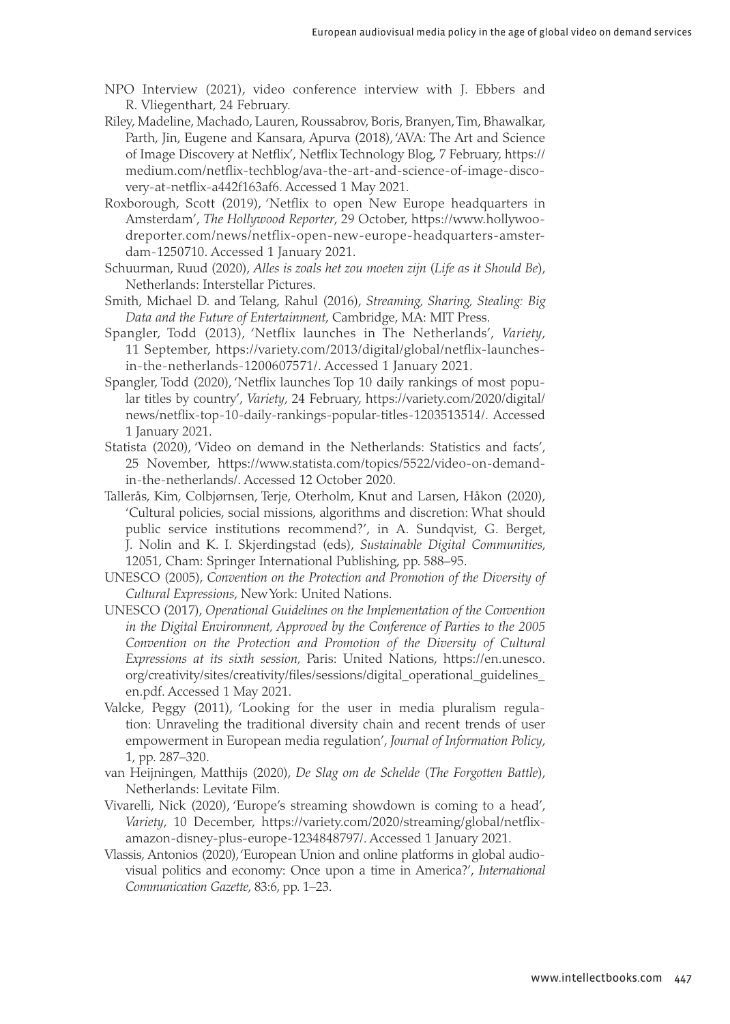- NPO Interview (2021), video conference interview with J. Ebbers and R. Vliegenthart, 24 February.
- Riley, Madeline, Machado, Lauren, Roussabrov, Boris, Branyen, Tim, Bhawalkar, Parth, Jin, Eugene and Kansara, Apurya (2018), 'AVA: The Art and Science of Image Discovery at Netflix', Netflix Technology Blog, 7 February, [https://](https://medium.com/netflix-techblog/ava-the-art-and-science-of-image-discovery-at-netflix-a442f163af6) [medium.com/netflix-techblog/ava-the-art-and-science-of-image-disco](https://medium.com/netflix-techblog/ava-the-art-and-science-of-image-discovery-at-netflix-a442f163af6)[very-at-netflix-a442f163af6.](https://medium.com/netflix-techblog/ava-the-art-and-science-of-image-discovery-at-netflix-a442f163af6) Accessed 1 May 2021.
- Roxborough, Scott (2019), 'Netflix to open New Europe headquarters in Amsterdam', *The Hollywood Reporter*, 29 October, [https://www.hollywoo](https://www.hollywoodreporter.com/news/netflix-open-new-europe-headquarters-amsterdam-1250710)[dreporter.com/news/netflix-open-new-europe-headquarters-amster](https://www.hollywoodreporter.com/news/netflix-open-new-europe-headquarters-amsterdam-1250710)[dam-1250710](https://www.hollywoodreporter.com/news/netflix-open-new-europe-headquarters-amsterdam-1250710). Accessed 1 January 2021.
- Schuurman, Ruud (2020), *Alles is zoals het zou moeten zijn* (*Life as it Should Be*), Netherlands: Interstellar Pictures.
- Smith, Michael D. and Telang, Rahul (2016), *Streaming, Sharing, Stealing: Big Data and the Future of Entertainment*, Cambridge, MA: MIT Press.
- Spangler, Todd (2013), 'Netflix launches in The Netherlands', *Variety*, 11 September, [https://variety.com/2013/digital/global/netflix-launches](https://variety.com/2013/digital/global/netflix-launches-in-the-netherlands-1200607571/)[in-the-netherlands-1200607571/.](https://variety.com/2013/digital/global/netflix-launches-in-the-netherlands-1200607571/) Accessed 1 January 2021.
- Spangler, Todd (2020), 'Netflix launches Top 10 daily rankings of most popular titles by country', *Variety*, 24 February, [https://variety.com/2020/digital/](https://variety.com/2020/digital/news/netflix-top-10-daily-rankings-popular-titles-1203513514/) [news/netflix-top-10-daily-rankings-popular-titles-1203513514/.](https://variety.com/2020/digital/news/netflix-top-10-daily-rankings-popular-titles-1203513514/) Accessed 1 January 2021.
- Statista (2020), 'Video on demand in the Netherlands: Statistics and facts', 25 November, [https://www.statista.com/topics/5522/video-on-demand](https://www.statista.com/topics/5522/video-on-demand-in-the-netherlands/)[in-the-netherlands/.](https://www.statista.com/topics/5522/video-on-demand-in-the-netherlands/) Accessed 12 October 2020.
- Tallerås, Kim, Colbjørnsen, Terje, Oterholm, Knut and Larsen, Håkon (2020), 'Cultural policies, social missions, algorithms and discretion: What should public service institutions recommend?', in A. Sundqvist, G. Berget, J. Nolin and K. I. Skjerdingstad (eds), *Sustainable Digital Communities*, 12051, Cham: Springer International Publishing, pp. 588–95.
- UNESCO (2005), *Convention on the Protection and Promotion of the Diversity of Cultural Expressions*, New York: United Nations.
- UNESCO (2017), *Operational Guidelines on the Implementation of the Convention in the Digital Environment, Approved by the Conference of Parties to the 2005 Convention on the Protection and Promotion of the Diversity of Cultural Expressions at its sixth session,* Paris: United Nations, [https://en.unesco.](https://en.unesco.org/creativity/sites/creativity/files/sessions/digital_operational_guidelines_en.pdf) [org/creativity/sites/creativity/files/sessions/digital\\_operational\\_guidelines\\_](https://en.unesco.org/creativity/sites/creativity/files/sessions/digital_operational_guidelines_en.pdf) [en.pdf](https://en.unesco.org/creativity/sites/creativity/files/sessions/digital_operational_guidelines_en.pdf). Accessed 1 May 2021.
- Valcke, Peggy (2011), 'Looking for the user in media pluralism regulation: Unraveling the traditional diversity chain and recent trends of user empowerment in European media regulation', *Journal of Information Policy*, 1, pp. 287–320.
- van Heijningen, Matthijs (2020), *De Slag om de Schelde* (*The Forgotten Battle*), Netherlands: Levitate Film.
- Vivarelli, Nick (2020), 'Europe's streaming showdown is coming to a head', *Variety*, 10 December, [https://variety.com/2020/streaming/global/netflix](https://variety.com/2020/streaming/global/netflix-amazon-disney-plus-europe-1234848797/)[amazon-disney-plus-europe-1234848797/.](https://variety.com/2020/streaming/global/netflix-amazon-disney-plus-europe-1234848797/) Accessed 1 January 2021.
- Vlassis, Antonios (2020), 'European Union and online platforms in global audiovisual politics and economy: Once upon a time in America?', *International Communication Gazette*, 83:6, pp. 1–23.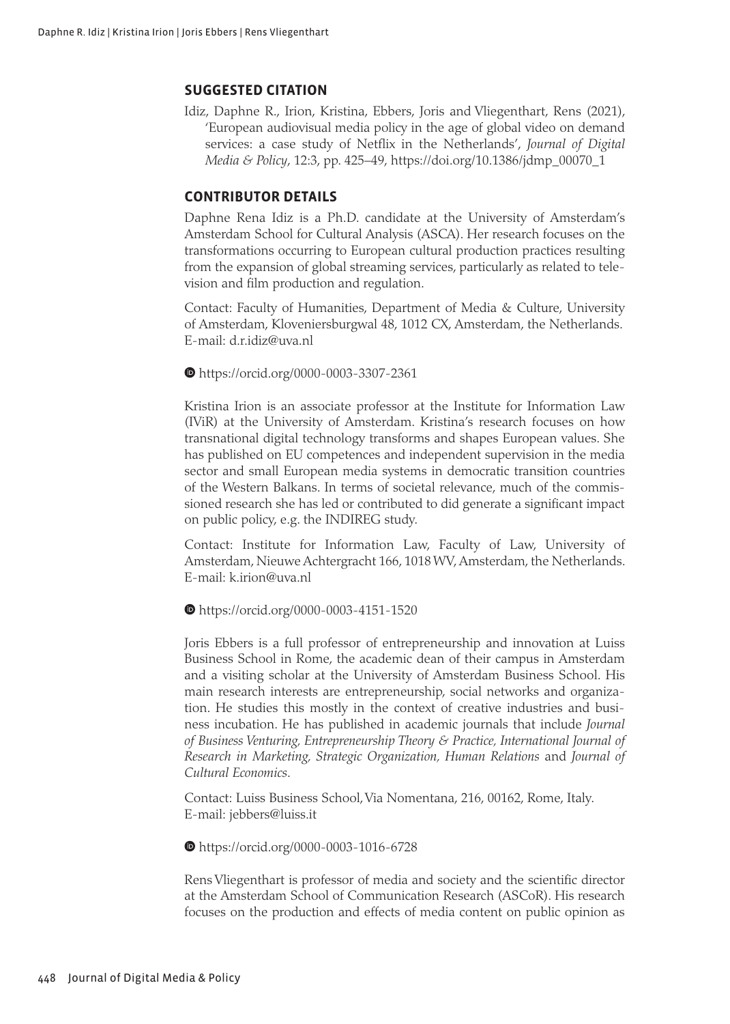#### **SUGGESTED CITATION**

Idiz, Daphne R., Irion, Kristina, Ebbers, Joris and Vliegenthart, Rens (2021), 'European audiovisual media policy in the age of global video on demand services: a case study of Netflix in the Netherlands', *Journal of Digital Media & Policy*, 12:3, pp. 425–49, [https://doi.org/10.1386/jdmp\\_00070\\_1](https://doi.org/10.1386/jdmp_00070_1)

#### **CONTRIBUTOR DETAILS**

Daphne Rena Idiz is a Ph.D. candidate at the University of Amsterdam's Amsterdam School for Cultural Analysis (ASCA). Her research focuses on the transformations occurring to European cultural production practices resulting from the expansion of global streaming services, particularly as related to television and film production and regulation.

Contact: Faculty of Humanities, Department of Media & Culture, University of Amsterdam, Kloveniersburgwal 48, 1012 CX, Amsterdam, the Netherlands. E-mail: [d.r.idiz@uva.nl](mailto:﻿d.r.idiz@uva.nl)

https://orcid.org/0000-0003-3307-2361

Kristina Irion is an associate professor at the Institute for Information Law (IViR) at the University of Amsterdam. Kristina's research focuses on how transnational digital technology transforms and shapes European values. She has published on EU competences and independent supervision in the media sector and small European media systems in democratic transition countries of the Western Balkans. In terms of societal relevance, much of the commissioned research she has led or contributed to did generate a significant impact on public policy, e.g. the INDIREG study.

Contact: Institute for Information Law, Faculty of Law, University of Amsterdam, Nieuwe Achtergracht 166, 1018 WV, Amsterdam, the Netherlands. E-mail: [k.irion@uva.nl](mailto:﻿k.irion@uva.nl)

https://orcid.org/0000-0003-4151-1520

Joris Ebbers is a full professor of entrepreneurship and innovation at Luiss Business School in Rome, the academic dean of their campus in Amsterdam and a visiting scholar at the University of Amsterdam Business School. His main research interests are entrepreneurship, social networks and organization. He studies this mostly in the context of creative industries and business incubation. He has published in academic journals that include *Journal of Business Venturing, Entrepreneurship Theory & Practice, International Journal of Research in Marketing, Strategic Organization, Human Relations* and *Journal of Cultural Economics*.

Contact: Luiss Business School, Via Nomentana, 216, 00162, Rome, Italy. E-mail: jebbers@luiss.it

https://orcid.org/0000-0003-1016-6728

Rens Vliegenthart is professor of media and society and the scientific director at the Amsterdam School of Communication Research (ASCoR). His research focuses on the production and effects of media content on public opinion as